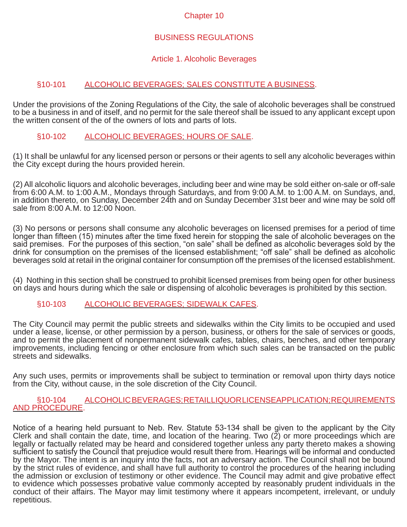#### Chapter 10

#### BUSINESS REGULATIONS

#### Article 1. Alcoholic Beverages

#### §10-101 ALCOHOLIC BEVERAGES; SALES CONSTITUTE A BUSINESS.

Under the provisions of the Zoning Regulations of the City, the sale of alcoholic beverages shall be construed to be a business in and of itself, and no permit for the sale thereof shall be issued to any applicant except upon the written consent of the of the owners of lots and parts of lots.

#### §10-102 ALCOHOLIC BEVERAGES; HOURS OF SALE.

(1) It shall be unlawful for any licensed person or persons or their agents to sell any alcoholic beverages within the City except during the hours provided herein.

(2) All alcoholic liquors and alcoholic beverages, including beer and wine may be sold either on-sale or off-sale from 6:00 A.M. to 1:00 A.M., Mondays through Saturdays, and from 9:00 A.M. to 1:00 A.M. on Sundays, and, in addition thereto, on Sunday, December 24th and on Sunday December 31st beer and wine may be sold off sale from 8:00 A.M. to 12:00 Noon.

(3) No persons or persons shall consume any alcoholic beverages on licensed premises for a period of time longer than fifteen (15) minutes after the time fixed herein for stopping the sale of alcoholic beverages on the said premises. For the purposes of this section, "on sale" shall be defined as alcoholic beverages sold by the drink for consumption on the premises of the licensed establishment; "off sale" shall be defined as alcoholic beverages sold at retail in the original container for consumption off the premises of the licensed establishment.

(4) Nothing in this section shall be construed to prohibit licensed premises from being open for other business on days and hours during which the sale or dispensing of alcoholic beverages is prohibited by this section.

#### §10-103 ALCOHOLIC BEVERAGES; SIDEWALK CAFES.

The City Council may permit the public streets and sidewalks within the City limits to be occupied and used under a lease, license, or other permission by a person, business, or others for the sale of services or goods, and to permit the placement of nonpermanent sidewalk cafes, tables, chairs, benches, and other temporary improvements, including fencing or other enclosure from which such sales can be transacted on the public streets and sidewalks.

Any such uses, permits or improvements shall be subject to termination or removal upon thirty days notice from the City, without cause, in the sole discretion of the City Council.

#### §10-104 ALCOHOLIC BEVERAGES; RETAILLIQUOR LICENSEAPPLICATION; REQUIREMENTS AND PROCEDURE.

Notice of a hearing held pursuant to Neb. Rev. Statute 53-134 shall be given to the applicant by the City Clerk and shall contain the date, time, and location of the hearing. Two  $(2)$  or more proceedings which are legally or factually related may be heard and considered together unless any party thereto makes a showing sufficient to satisfy the Council that prejudice would result there from. Hearings will be informal and conducted by the Mayor. The intent is an inquiry into the facts, not an adversary action. The Council shall not be bound by the strict rules of evidence, and shall have full authority to control the procedures of the hearing including the admission or exclusion of testimony or other evidence. The Council may admit and give probative effect to evidence which possesses probative value commonly accepted by reasonably prudent individuals in the conduct of their affairs. The Mayor may limit testimony where it appears incompetent, irrelevant, or unduly repetitious.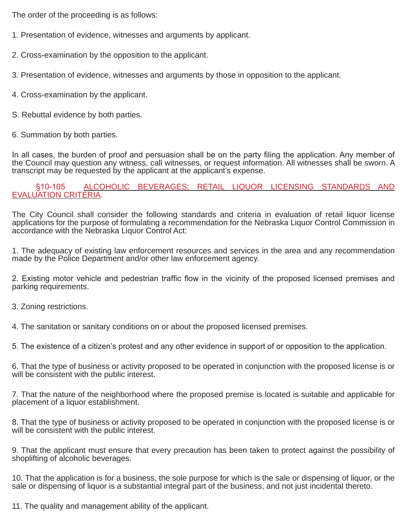The order of the proceeding is as follows:

- 1. Presentation of evidence, witnesses and arguments by applicant.
- 2. Cross-examination by the opposition to the applicant.
- 3. Presentation of evidence, witnesses and arguments by those in opposition to the applicant.
- 4. Cross-examination by the applicant.
- S. Rebuttal evidence by both parties.
- 6. Summation by both parties.

In all cases, the burden of proof and persuasion shall be on the party filing the application. Any member of the Council may question any witness, call witnesses, or request information. All witnesses shall be sworn. A transcript may be requested by the applicant at the applicant's expense.

#### §10-105 ALCOHOLIC BEVERAGES; RETAIL LIQUOR LICENSING STANDARDS AND EVALUATION CRITERIA.

The City Council shall consider the following standards and criteria in evaluation of retail liquor license applications for the purpose of formulating a recommendation for the Nebraska Liquor Control Commission in accordance with the Nebraska Liquor Control Act:

1. The adequacy of existing law enforcement resources and services in the area and any recommendation made by the Police Department and/or other law enforcement agency.

2. Existing motor vehicle and pedestrian traffic flow in the vicinity of the proposed licensed premises and parking requirements.

- 3. Zoning restrictions.
- 4. The sanitation or sanitary conditions on or about the proposed licensed premises.

5. The existence of a citizen's protest and any other evidence in support of or opposition to the application.

6. That the type of business or activity proposed to be operated in conjunction with the proposed license is or will be consistent with the public interest.

7. That the nature of the neighborhood where the proposed premise is located is suitable and applicable for placement of a liquor establishment.

8. That the type of business or activity proposed to be operated in conjunction with the proposed license is or will be consistent with the public interest.

9. That the applicant must ensure that every precaution has been taken to protect against the possibility of shoplifting of alcoholic beverages.

10. That the application is for a business, the sole purpose for which is the sale or dispensing of liquor, or the sale or dispensing of liquor is a substantial integral part of the business, and not just incidental thereto.

11. The quality and management ability of the applicant.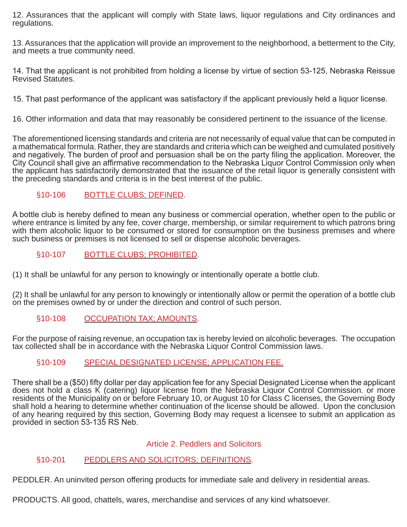12. Assurances that the applicant will comply with State laws, liquor regulations and City ordinances and regulations.

13. Assurances that the application will provide an improvement to the neighborhood, a betterment to the City, and meets a true community need.

14. That the applicant is not prohibited from holding a license by virtue of section 53-125, Nebraska Reissue Revised Statutes.

15. That past performance of the applicant was satisfactory if the applicant previously held a liquor license.

16. Other information and data that may reasonably be considered pertinent to the issuance of the license.

The aforementioned licensing standards and criteria are not necessarily of equal value that can be computed in a mathematical formula. Rather, they are standards and criteria which can be weighed and cumulated positively and negatively. The burden of proof and persuasion shall be on the party filing the application. Moreover, the City Council shall give an affirmative recommendation to the Nebraska Liquor Control Commission only when the applicant has satisfactorily demonstrated that the issuance of the retail liquor is generally consistent with the preceding standards and criteria is in the best interest of the public.

# §10-106 BOTTLE CLUBS; DEFINED.

A bottle club is hereby defined to mean any business or commercial operation, whether open to the public or where entrance is limited by any fee, cover charge, membership, or similar requirement to which patrons bring with them alcoholic liquor to be consumed or stored for consumption on the business premises and where such business or premises is not licensed to sell or dispense alcoholic beverages.

§10-107 BOTTLE CLUBS; PROHIBITED.

(1) It shall be unlawful for any person to knowingly or intentionally operate a bottle club.

(2) It shall be unlawful for any person to knowingly or intentionally allow or permit the operation of a bottle club on the premises owned by or under the direction and control of such person.

#### §10-108 OCCUPATION TAX; AMOUNTS.

For the purpose of raising revenue, an occupation tax is hereby levied on alcoholic beverages. The occupation tax collected shall be in accordance with the Nebraska Liquor Control Commission laws.

#### §10-109 SPECIAL DESIGNATED LICENSE; APPLICATION FEE.

There shall be a (\$50) fifty dollar per day application fee for any Special Designated License when the applicant does not hold a class K (catering) liquor license from the Nebraska Liquor Control Commission. or more residents of the Municipality on or before February 10, or August 10 for Class C licenses, the Governing Body shall hold a hearing to determine whether continuation of the license should be allowed. Upon the conclusion of any hearing required by this section, Governing Body may request a licensee to submit an application as provided in section 53-135 RS Neb.

#### Article 2. Peddlers and Solicitors

# §10-201 PEDDLERS AND SOLICITORS; DEFINITIONS.

PEDDLER. An uninvited person offering products for immediate sale and delivery in residential areas.

PRODUCTS. All good, chattels, wares, merchandise and services of any kind whatsoever.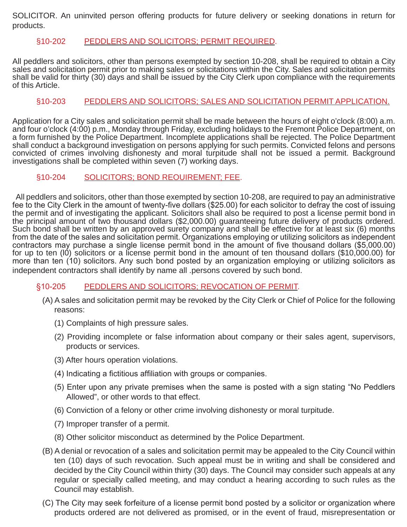SOLICITOR. An uninvited person offering products for future delivery or seeking donations in return for products.

#### §10-202 PEDDLERS AND SOLICITORS; PERMIT REQUIRED.

All peddlers and solicitors, other than persons exempted by section 10-208, shall be required to obtain a City sales and solicitation permit prior to making sales or solicitations within the City. Sales and solicitation permits shall be valid for thirty (30) days and shall be issued by the City Clerk upon compliance with the requirements of this Article.

# §10-203 PEDDLERS AND SOLICITORS; SALES AND SOLICITATION PERMIT APPLICATION.

Application for a City sales and solicitation permit shall be made between the hours of eight o'clock (8:00) a.m. and four o'clock (4:00) p.m., Monday through Friday, excluding holidays to the Fremont Police Department, on a form furnished by the Police Department. Incomplete applications shall be rejected. The Police Department shall conduct a background investigation on persons applying for such permits. Convicted felons and persons convicted of crimes involving dishonesty and moral turpitude shall not be issued a permit. Background investigations shall be completed within seven (7) working days.

#### §10-204 SOLICITORS; BOND REOUIREMENT; FEE.

All peddlers and solicitors, other than those exempted by section 10-208, are required to pay an administrative fee to the City Clerk in the amount of twenty-five dollars (\$25.00) for each solicitor to defray the cost of issuing the permit and of investigating the applicant. Solicitors shall also be required to post a license permit bond in the principal amount of two thousand dollars (\$2,000.00) guaranteeing future delivery of products ordered. Such bond shall be written by an approved surety company and shall be effective for at least six (6) months from the date of the sales and solicitation permit. Organizations employing or utilizing solicitors as independent contractors may purchase a single license permit bond in the amount of five thousand dollars (\$5,000.00) for up to ten (IO) solicitors or a license permit bond in the amount of ten thousand dollars (\$10,000.00) for more than ten (10) solicitors. Any such bond posted by an organization employing or utilizing solicitors as independent contractors shall identify by name all .persons covered by such bond.

#### §10-205 PEDDLERS AND SOLICITORS; REVOCATION OF PERMIT.

- (A) A sales and solicitation permit may be revoked by the City Clerk or Chief of Police for the following reasons:
	- (1) Complaints of high pressure sales.
	- (2) Providing incomplete or false information about company or their sales agent, supervisors, products or services.
	- (3) After hours operation violations.
	- (4) Indicating a fictitious affiliation with groups or companies.
	- (5) Enter upon any private premises when the same is posted with a sign stating "No Peddlers Allowed", or other words to that effect.
	- (6) Conviction of a felony or other crime involving dishonesty or moral turpitude.
	- (7) Improper transfer of a permit.
	- (8) Other solicitor misconduct as determined by the Police Department.
- (B) A denial or revocation of a sales and solicitation permit may be appealed to the City Council within ten (10) days of such revocation. Such appeal must be in writing and shall be considered and decided by the City Council within thirty (30) days. The Council may consider such appeals at any regular or specially called meeting, and may conduct a hearing according to such rules as the Council may establish.
- (C) The City may seek forfeiture of a license permit bond posted by a solicitor or organization where products ordered are not delivered as promised, or in the event of fraud, misrepresentation or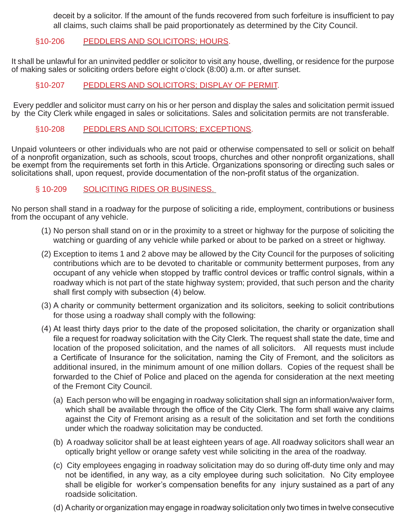deceit by a solicitor. If the amount of the funds recovered from such forfeiture is insufficient to pay all claims, such claims shall be paid proportionately as determined by the City Council.

# §10-206 PEDDLERS AND SOLICITORS; HOURS.

It shall be unlawful for an uninvited peddler or solicitor to visit any house, dwelling, or residence for the purpose of making sales or soliciting orders before eight o'clock (8:00) a.m. or after sunset.

# §10-207 PEDDLERS AND SOLICITORS; DISPLAY OF PERMIT.

Every peddler and solicitor must carry on his or her person and display the sales and solicitation permit issued by the City Clerk while engaged in sales or solicitations. Sales and solicitation permits are not transferable.

#### §10-208 PEDDLERS AND SOLICITORS; EXCEPTIONS.

Unpaid volunteers or other individuals who are not paid or otherwise compensated to sell or solicit on behalf of a nonprofit organization, such as schools, scout troops, churches and other nonprofit organizations, shall be exempt from the requirements set forth in this Article. Organizations sponsoring or directing such sales or solicitations shall, upon request, provide documentation of the non-profit status of the organization.

# § 10-209 SOLICITING RIDES OR BUSINESS.

No person shall stand in a roadway for the purpose of soliciting a ride, employment, contributions or business from the occupant of any vehicle.

- (1) No person shall stand on or in the proximity to a street or highway for the purpose of soliciting the watching or guarding of any vehicle while parked or about to be parked on a street or highway.
- (2) Exception to items 1 and 2 above may be allowed by the City Council for the purposes of soliciting contributions which are to be devoted to charitable or community betterment purposes, from any occupant of any vehicle when stopped by traffic control devices or traffic control signals, within a roadway which is not part of the state highway system; provided, that such person and the charity shall first comply with subsection (4) below.
- (3) A charity or community betterment organization and its solicitors, seeking to solicit contributions for those using a roadway shall comply with the following:
- (4) At least thirty days prior to the date of the proposed solicitation, the charity or organization shall file a request for roadway solicitation with the City Clerk. The request shall state the date, time and location of the proposed solicitation, and the names of all solicitors. All requests must include a Certificate of Insurance for the solicitation, naming the City of Fremont, and the solicitors as additional insured, in the minimum amount of one million dollars. Copies of the request shall be forwarded to the Chief of Police and placed on the agenda for consideration at the next meeting of the Fremont City Council.
	- (a) Each person who will be engaging in roadway solicitation shall sign an information/waiver form, which shall be available through the office of the City Clerk. The form shall waive any claims against the City of Fremont arising as a result of the solicitation and set forth the conditions under which the roadway solicitation may be conducted.
	- (b) A roadway solicitor shall be at least eighteen years of age. All roadway solicitors shall wear an optically bright yellow or orange safety vest while soliciting in the area of the roadway.
	- (c) City employees engaging in roadway solicitation may do so during off-duty time only and may not be identified, in any way, as a city employee during such solicitation. No City employee shall be eligible for worker's compensation benefits for any injury sustained as a part of any roadside solicitation.
	- (d) A charity or organization may engage in roadway solicitation only two times in twelve consecutive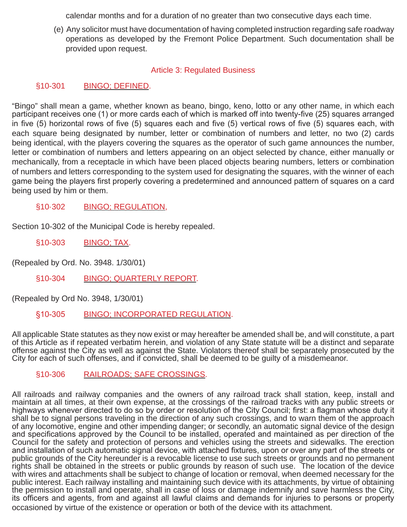calendar months and for a duration of no greater than two consecutive days each time.

(e) Any solicitor must have documentation of having completed instruction regarding safe roadway operations as developed by the Fremont Police Department. Such documentation shall be provided upon request.

# Article 3: Regulated Business

# §10-301 BINGO; DEFINED.

"Bingo" shall mean a game, whether known as beano, bingo, keno, lotto or any other name, in which each participant receives one (1) or more cards each of which is marked off into twenty-five (25) squares arranged in five (5) horizontal rows of five (5) squares each and five (5) vertical rows of five (5) squares each, with each square being designated by number, letter or combination of numbers and letter, no two (2) cards being identical, with the players covering the squares as the operator of such game announces the number, letter or combination of numbers and letters appearing on an object selected by chance, either manually or mechanically, from a receptacle in which have been placed objects bearing numbers, letters or combination of numbers and letters corresponding to the system used for designating the squares, with the winner of each game being the players first properly covering a predetermined and announced pattern of squares on a card being used by him or them.

§10·302 BINGO; REGULATION,

Section 10-302 of the Municipal Code is hereby repealed.

§10-303 BINGO; TAX.

(Repealed by Ord. No. 3948. 1/30/01)

§10-304 BINGO; QUARTERLY REPORT.

(Repealed by Ord No. 3948, 1/30/01)

§10-305 BINGO; INCORPORATED REGULATION.

All applicable State statutes as they now exist or may hereafter be amended shall be, and will constitute, a part of this Article as if repeated verbatim herein, and violation of any State statute will be a distinct and separate offense against the City as well as against the State. Violators thereof shall be separately prosecuted by the City for each of such offenses, and if convicted, shall be deemed to be guilty of a misdemeanor.

§10-306 RAILROADS; SAFE CROSSINGS.

All railroads and railway companies and the owners of any railroad track shall station, keep, install and maintain at all times, at their own expense, at the crossings of the railroad tracks with any public streets or highways whenever directed to do so by order or resolution of the City Council; first: a flagman whose duty it shall be to signal persons traveling in the direction of any such crossings, and to warn them of the approach of any locomotive, engine and other impending danger; or secondly, an automatic signal device of the design and specifications approved by the Council to be installed, operated and maintained as per direction of the Council for the safety and protection of persons and vehicles using the streets and sidewalks. The erection and installation of such automatic signal device, with attached fixtures, upon or over any part of the streets or public grounds of the City hereunder is a revocable license to use such streets or grounds and no permanent rights shall be obtained in the streets or public grounds by reason of such use. The location of the device with wires and attachments shall be subject to change of location or removal, when deemed necessary for the public interest. Each railway installing and maintaining such device with its attachments, by virtue of obtaining the permission to install and operate, shall in case of loss or damage indemnify and save harmless the City, its officers and agents, from and against all lawful claims and demands for injuries to persons or property occasioned by virtue of the existence or operation or both of the device with its attachment.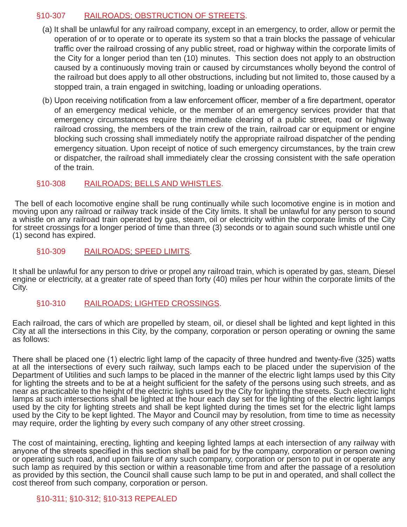# §10-307 RAILROADS; OBSTRUCTION OF STREETS.

- (a) It shall be unlawful for any railroad company, except in an emergency, to order, allow or permit the operation of or to operate or to operate its system so that a train blocks the passage of vehicular traffic over the railroad crossing of any public street, road or highway within the corporate limits of the City for a longer period than ten (10) minutes. This section does not apply to an obstruction caused by a continuously moving train or caused by circumstances wholly beyond the control of the railroad but does apply to all other obstructions, including but not limited to, those caused by a stopped train, a train engaged in switching, loading or unloading operations.
- (b) Upon receiving notification from a law enforcement officer, member of a fire department, operator of an emergency medical vehicle, or the member of an emergency services provider that that emergency circumstances require the immediate clearing of a public street, road or highway railroad crossing, the members of the train crew of the train, railroad car or equipment or engine blocking such crossing shall immediately notify the appropriate railroad dispatcher of the pending emergency situation. Upon receipt of notice of such emergency circumstances, by the train crew or dispatcher, the railroad shall immediately clear the crossing consistent with the safe operation of the train.

#### §10-308 RAILROADS; BELLS AND WHISTLES.

 The bell of each locomotive engine shall be rung continually while such locomotive engine is in motion and moving upon any railroad or railway track inside of the City limits. It shall be unlawful for any person to sound a whistle on any railroad train operated by gas, steam, oil or electricity within the corporate limits of the City for street crossings for a longer period of time than three (3) seconds or to again sound such whistle until one (1) second has expired.

#### §10-309 RAILROADS; SPEED LIMITS.

It shall be unlawful for any person to drive or propel any railroad train, which is operated by gas, steam, Diesel engine or electricity, at a greater rate of speed than forty (40) miles per hour within the corporate limits of the City.

#### §10-310 RAILROADS; LIGHTED CROSSINGS.

Each railroad, the cars of which are propelled by steam, oil, or diesel shall be lighted and kept lighted in this City at all the intersections in this City, by the company, corporation or person operating or owning the same as follows:

There shall be placed one (1) electric light lamp of the capacity of three hundred and twenty-five (325) watts at all the intersections of every such railway, such lamps each to be placed under the supervision of the Department of Utilities and such lamps to be placed in the manner of the electric light lamps used by this City for lighting the streets and to be at a height sufficient for the safety of the persons using such streets, and as near as practicable to the height of the electric lights used by the City for lighting the streets. Such electric light lamps at such intersections shall be lighted at the hour each day set for the lighting of the electric light lamps used by the city for lighting streets and shall be kept lighted during the times set for the electric light lamps used by the City to be kept lighted. The Mayor and Council may by resolution, from time to time as necessity may require, order the lighting by every such company of any other street crossing.

The cost of maintaining, erecting, lighting and keeping lighted lamps at each intersection of any railway with anyone of the streets specified in this section shall be paid for by the company, corporation or person owning or operating such road, and upon failure of any such company, corporation or person to put in or operate any such lamp as required by this section or within a reasonable time from and after the passage of a resolution as provided by this section, the Council shall cause such lamp to be put in and operated, and shall collect the cost thereof from such company, corporation or person.

# §10-311; §10-312; §10-313 REPEALED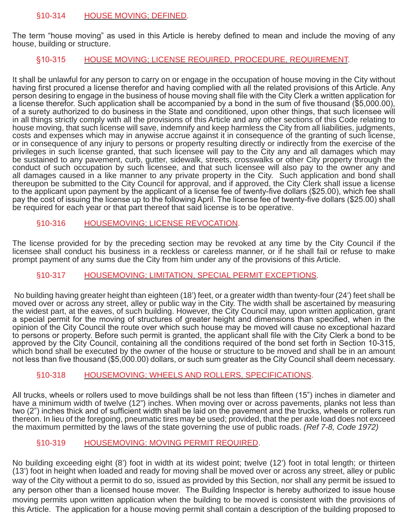#### §10-314 HOUSE MOVING; DEFINED.

The term "house moving" as used in this Article is hereby defined to mean and include the moving of any house, building or structure.

# §10-315 HOUSE MOVING; LICENSE REOUIRED, PROCEDURE, REQUIREMENT.

It shall be unlawful for any person to carry on or engage in the occupation of house moving in the City without having first procured a license therefor and having complied with all the related provisions of this Article. Any person desiring to engage in the business of house moving shall file with the City Clerk a written application for a license therefor. Such application shall be accompanied by a bond in the sum of five thousand (\$5,000.00), of a surety authorized to do business in the State and conditioned, upon other things, that such licensee will in all things strictly comply with all the provisions of this Article and any other sections of this Code relating to house moving, that such license will save, indemnify and keep harmless the City from all liabilities, judgments, costs and expenses which may in anywise accrue against it in consequence of the granting of such license, or in consequence of any injury to persons or property resulting directly or indirectly from the exercise of the privileges in such license granted, that such licensee will pay to the City any and all damages which may be sustained to any pavement, curb, gutter, sidewalk, streets, crosswalks or other City property through the conduct of such occupation by such licensee, and that such licensee will also pay to the owner any and all damages caused in a like manner to any private property in the City. Such application and bond shall thereupon be submitted to the City Council for approval, and if approved, the City Clerk shall issue a license to the applicant upon payment by the applicant of a license fee of twenty-five dollars (\$25.00), which fee shall pay the cost of issuing the license up to the following April. The license fee of twenty-five dollars (\$25.00) shall be required for each year or that part thereof that said license is to be operative.

#### §10-316 HOUSEMOVING; LICENSE REVOCATION.

The license provided for by the preceding section may be revoked at any time by the City Council if the licensee shall conduct his business in a reckless or careless manner, or if he shall fail or refuse to make prompt payment of any sums due the City from him under any of the provisions of this Article.

#### §10-317 HOUSEMOVING; LIMITATION, SPECIAL PERMIT EXCEPTIONS.

No building having greater height than eighteen (18') feet, or a greater width than twenty-four (24') feet shall be moved over or across any street, alley or public way in the City. The width shall be ascertained by measuring the widest part, at the eaves, of such building. However, the City Council may, upon written application, grant a special permit for the moving of structures of greater height and dimensions than specified, when in the opinion of the City Council the route over which such house may be moved will cause no exceptional hazard to persons or property. Before such permit is granted, the applicant shall file with the City Clerk a bond to be approved by the City Council, containing all the conditions required of the bond set forth in Section 10-315, which bond shall be executed by the owner of the house or structure to be moved and shall be in an amount not less than five thousand (\$5,000.00) dollars, or such sum greater as the City Council shall deem necessary.

#### §10-318 HOUSEMOVING; WHEELS AND ROLLERS, SPECIFICATIONS.

All trucks, wheels or rollers used to move buildings shall be not less than fifteen (15") inches in diameter and have a minimum width of twelve (12") inches. When moving over or across pavements, planks not less than two (2") inches thick and of sufficient width shall be laid on the pavement and the trucks, wheels or rollers run thereon. In lieu of the foregoing, pneumatic tires may be used; provided, that the per axle load does not exceed the maximum permitted by the laws of the state governing the use of public roads. *(Ref 7-8, Code 1972)*

#### §10-319 HOUSEMOVING: MOVING PERMIT REQUIRED.

No building exceeding eight (8') foot in width at its widest point; twelve (12') foot in total length; or thirteen (13') foot in height when loaded and ready for moving shall be moved over or across any street, alley or public way of the City without a permit to do so, issued as provided by this Section, nor shall any permit be issued to any person other than a licensed house mover. The Building Inspector is hereby authorized to issue house moving permits upon written application when the building to be moved is consistent with the provisions of this Article. The application for a house moving permit shall contain a description of the building proposed to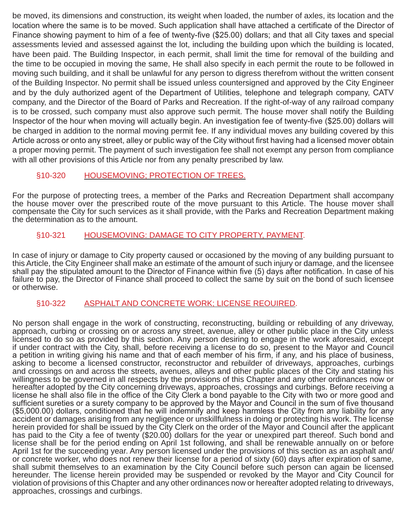be moved, its dimensions and construction, its weight when loaded, the number of axles, its location and the location where the same is to be moved. Such application shall have attached a certificate of the Director of Finance showing payment to him of a fee of twenty-five (\$25.00) dollars; and that all City taxes and special assessments levied and assessed against the lot, including the building upon which the building is located, have been paid. The Building Inspector, in each permit, shall limit the time for removal of the building and the time to be occupied in moving the same, He shall also specify in each permit the route to be followed in moving such building, and it shall be unlawful for any person to digress therefrom without the written consent of the Building Inspector. No permit shall be issued unless countersigned and approved by the City Engineer and by the duly authorized agent of the Department of Utilities, telephone and telegraph company, CATV company, and the Director of the Board of Parks and Recreation. If the right-of-way of any railroad company is to be crossed, such company must also approve such permit. The house mover shall notify the Building Inspector of the hour when moving will actually begin. An investigation fee of twenty-five (\$25.00) dollars will be charged in addition to the normal moving permit fee. If any individual moves any building covered by this Article across or onto any street, alley or public way of the City without first having had a licensed mover obtain a proper moving permit. The payment of such investigation fee shall not exempt any person from compliance with all other provisions of this Article nor from any penalty prescribed by law.

# §10-320 HOUSEMOVING; PROTECTION OF TREES.

For the purpose of protecting trees, a member of the Parks and Recreation Department shall accompany the house mover over the prescribed route of the move pursuant to this Article. The house mover shall compensate the City for such services as it shall provide, with the Parks and Recreation Department making the determination as to the amount.

# §10-321 HOUSEMOVING: DAMAGE TO CITY PROPERTY, PAYMENT.

In case of injury or damage to City property caused or occasioned by the moving of any building pursuant to this Article, the City Engineer shall make an estimate of the amount of such injury or damage, and the licensee shall pay the stipulated amount to the Director of Finance within five (5) days after notification. In case of his failure to pay, the Director of Finance shall proceed to collect the same by suit on the bond of such licensee or otherwise.

#### §10-322 ASPHALT AND CONCRETE WORK; LICENSE REOUIRED.

No person shall engage in the work of constructing, reconstructing, building or rebuilding of any driveway, approach, curbing or crossing on or across any street, avenue, alley or other public place in the City unless licensed to do so as provided by this section. Any person desiring to engage in the work aforesaid, except if under contract with the City, shall, before receiving a license to do so, present to the Mayor and Council a petition in writing giving his name and that of each member of his firm, if any, and his place of business, asking to become a licensed constructor, reconstructor and rebuilder of driveways, approaches, curbings and crossings on and across the streets, avenues, alleys and other public places of the City and stating his willingness to be governed in all respects by the provisions of this Chapter and any other ordinances now or hereafter adopted by the City concerning driveways, approaches, crossings and curbings. Before receiving a license he shall also file in the office of the City Clerk a bond payable to the City with two or more good and sufficient sureties or a surety company to be approved by the Mayor and Council in the sum of five thousand (\$5,000.00) dollars, conditioned that he will indemnify and keep harmless the City from any liability for any accident or damages arising from any negligence or unskillfulness in doing or protecting his work. The license herein provided for shall be issued by the City Clerk on the order of the Mayor and Council after the applicant has paid to the City a fee of twenty (\$20.00) dollars for the year or unexpired part thereof. Such bond and license shall be for the period ending on April 1st following, and shall be renewable annually on or before April 1st for the succeeding year. Any person licensed under the provisions of this section as an asphalt and/ or concrete worker, who does not renew their license for a period of sixty (60) days after expiration of same, shall submit themselves to an examination by the City Council before such person can again be licensed hereunder. The license herein provided may be suspended or revoked by the Mayor and City Council for violation of provisions of this Chapter and any other ordinances now or hereafter adopted relating to driveways, approaches, crossings and curbings.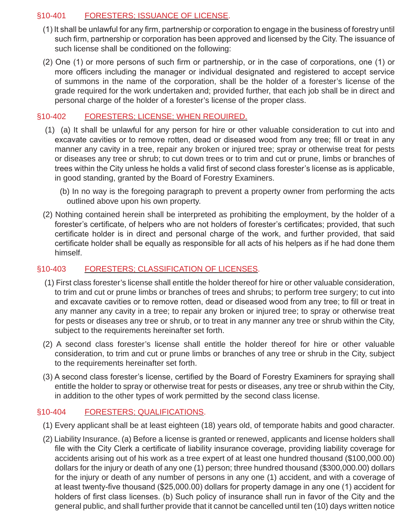# §10-401 FORESTERS; ISSUANCE OF LICENSE.

- (1) It shall be unlawful for any firm, partnership or corporation to engage in the business of forestry until such firm, partnership or corporation has been approved and licensed by the City. The issuance of such license shall be conditioned on the following:
- (2) One (1) or more persons of such firm or partnership, or in the case of corporations, one (1) or more officers including the manager or individual designated and registered to accept service of summons in the name of the corporation, shall be the holder of a forester's license of the grade required for the work undertaken and; provided further, that each job shall be in direct and personal charge of the holder of a forester's license of the proper class.

# §10-402 FORESTERS; LICENSE; WHEN REOUIRED.

- (1) (a) It shall be unlawful for any person for hire or other valuable consideration to cut into and excavate cavities or to remove rotten, dead or diseased wood from any tree; fill or treat in any manner any cavity in a tree, repair any broken or injured tree; spray or otherwise treat for pests or diseases any tree or shrub; to cut down trees or to trim and cut or prune, limbs or branches of trees within the City unless he holds a valid first of second class forester's license as is applicable, in good standing, granted by the Board of Forestry Examiners.
	- (b) In no way is the foregoing paragraph to prevent a property owner from performing the acts outlined above upon his own property.
- (2) Nothing contained herein shall be interpreted as prohibiting the employment, by the holder of a forester's certificate, of helpers who are not holders of forester's certificates; provided, that such certificate holder is in direct and personal charge of the work, and further provided, that said certificate holder shall be equally as responsible for all acts of his helpers as if he had done them himself.

# §10-403 FORESTERS; CLASSIFICATION OF LICENSES.

- (1) First class forester's license shall entitle the holder thereof for hire or other valuable consideration, to trim and cut or prune limbs or branches of trees and shrubs; to perform tree surgery; to cut into and excavate cavities or to remove rotten, dead or diseased wood from any tree; to fill or treat in any manner any cavity in a tree; to repair any broken or injured tree; to spray or otherwise treat for pests or diseases any tree or shrub, or to treat in any manner any tree or shrub within the City, subject to the requirements hereinafter set forth.
- (2) A second class forester's license shall entitle the holder thereof for hire or other valuable consideration, to trim and cut or prune limbs or branches of any tree or shrub in the City, subject to the requirements hereinafter set forth.
- (3) A second class forester's license, certified by the Board of Forestry Examiners for spraying shall entitle the holder to spray or otherwise treat for pests or diseases, any tree or shrub within the City, in addition to the other types of work permitted by the second class license.

# §10-404 FORESTERS; QUALIFICATIONS.

- (1) Every applicant shall be at least eighteen (18) years old, of temporate habits and good character.
- (2) Liability Insurance. (a) Before a license is granted or renewed, applicants and license holders shall file with the City Clerk a certificate of liability insurance coverage, providing liability coverage for accidents arising out of his work as a tree expert of at least one hundred thousand (\$100,000.00) dollars for the injury or death of any one (1) person; three hundred thousand (\$300,000.00) dollars for the injury or death of any number of persons in any one (1) accident, and with a coverage of at least twenty-five thousand (\$25,000.00) dollars for property damage in any one (1) accident for holders of first class licenses. (b) Such policy of insurance shall run in favor of the City and the general public, and shall further provide that it cannot be cancelled until ten (10) days written notice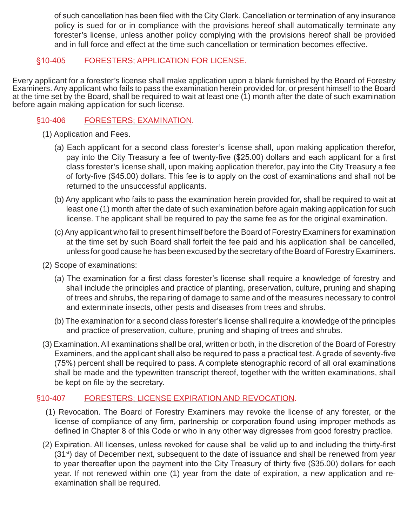of such cancellation has been filed with the City Clerk. Cancellation or termination of any insurance policy is sued for or in compliance with the provisions hereof shall automatically terminate any forester's license, unless another policy complying with the provisions hereof shall be provided and in full force and effect at the time such cancellation or termination becomes effective.

# §10-405 FORESTERS; APPLICATION FOR LICENSE.

Every applicant for a forester's license shall make application upon a blank furnished by the Board of Forestry Examiners. Any applicant who fails to pass the examination herein provided for, or present himself to the Board at the time set by the Board, shall be required to wait at least one (1) month after the date of such examination before again making application for such license.

# §10-406 FORESTERS; EXAMINATION.

- (1) Application and Fees.
	- (a) Each applicant for a second class forester's license shall, upon making application therefor, pay into the City Treasury a fee of twenty-five (\$25.00) dollars and each applicant for a first class forester's license shall, upon making application therefor, pay into the City Treasury a fee of forty-five (\$45.00) dollars. This fee is to apply on the cost of examinations and shall not be returned to the unsuccessful applicants.
	- (b) Any applicant who fails to pass the examination herein provided for, shall be required to wait at least one (1) month after the date of such examination before again making application for such license. The applicant shall be required to pay the same fee as for the original examination.
	- (c) Any applicant who fail to present himself before the Board of Forestry Examiners for examination at the time set by such Board shall forfeit the fee paid and his application shall be cancelled, unless for good cause he has been excused by the secretary of the Board of Forestry Examiners.
- (2) Scope of examinations:
	- (a) The examination for a first class forester's license shall require a knowledge of forestry and shall include the principles and practice of planting, preservation, culture, pruning and shaping of trees and shrubs, the repairing of damage to same and of the measures necessary to control and exterminate insects, other pests and diseases from trees and shrubs.
	- (b) The examination for a second class forester's license shall require a knowledge of the principles and practice of preservation, culture, pruning and shaping of trees and shrubs.
- (3) Examination. All examinations shall be oral, written or both, in the discretion of the Board of Forestry Examiners, and the applicant shall also be required to pass a practical test. A grade of seventy-five (75%) percent shall be required to pass. A complete stenographic record of all oral examinations shall be made and the typewritten transcript thereof, together with the written examinations, shall be kept on file by the secretary.

# §10-407 FORESTERS; LICENSE EXPIRATION AND REVOCATION.

- (1) Revocation. The Board of Forestry Examiners may revoke the license of any forester, or the license of compliance of any firm, partnership or corporation found using improper methods as defined in Chapter 8 of this Code or who in any other way digresses from good forestry practice.
- (2) Expiration. All licenses, unless revoked for cause shall be valid up to and including the thirty-first (31<sup>st</sup>) day of December next, subsequent to the date of issuance and shall be renewed from year to year thereafter upon the payment into the City Treasury of thirty five (\$35.00) dollars for each year. If not renewed within one (1) year from the date of expiration, a new application and reexamination shall be required.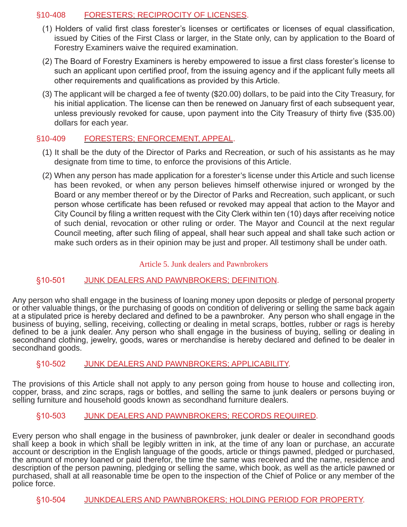# §10-408 FORESTERS; RECIPROCITY OF LICENSES.

- (1) Holders of valid first class forester's licenses or certificates or licenses of equal classification, issued by Cities of the First Class or larger, in the State only, can by application to the Board of Forestry Examiners waive the required examination.
- (2) The Board of Forestry Examiners is hereby empowered to issue a first class forester's license to such an applicant upon certified proof, from the issuing agency and if the applicant fully meets all other requirements and qualifications as provided by this Article.
- (3) The applicant will be charged a fee of twenty (\$20.00) dollars, to be paid into the City Treasury, for his initial application. The license can then be renewed on January first of each subsequent year, unless previously revoked for cause, upon payment into the City Treasury of thirty five (\$35.00) dollars for each year.

# §10-409 FORESTERS; ENFORCEMENT, APPEAL.

- (1) It shall be the duty of the Director of Parks and Recreation, or such of his assistants as he may designate from time to time, to enforce the provisions of this Article.
- (2) When any person has made application for a forester's license under this Article and such license has been revoked, or when any person believes himself otherwise injured or wronged by the Board or any member thereof or by the Director of Parks and Recreation, such applicant, or such person whose certificate has been refused or revoked may appeal that action to the Mayor and City Council by filing a written request with the City Clerk within ten (10) days after receiving notice of such denial, revocation or other ruling or order. The Mayor and Council at the next regular Council meeting, after such filing of appeal, shall hear such appeal and shall take such action or make such orders as in their opinion may be just and proper. All testimony shall be under oath.

#### Article 5. Junk dealers and Pawnbrokers

#### §10-501 JUNK DEALERS AND PAWNBROKERS; DEFINITION.

Any person who shall engage in the business of loaning money upon deposits or pledge of personal property or other valuable things, or the purchasing of goods on condition of delivering or selling the same back again at a stipulated price is hereby declared and defined to be a pawnbroker. Any person who shall engage in the business of buying, selling, receiving, collecting or dealing in metal scraps, bottles, rubber or rags is hereby defined to be a junk dealer. Any person who shall engage in the business of buying, selling or dealing in secondhand clothing, jewelry, goods, wares or merchandise is hereby declared and defined to be dealer in secondhand goods.

#### §10-502 JUNK DEALERS AND PAWNBROKERS; APPLICABILITY.

The provisions of this Article shall not apply to any person going from house to house and collecting iron, copper, brass, and zinc scraps, rags or bottles, and selling the same to junk dealers or persons buying or selling furniture and household goods known as secondhand furniture dealers.

#### §10-503 JUNK DEALERS AND PAWNBROKERS; RECORDS REQUIRED.

Every person who shall engage in the business of pawnbroker, junk dealer or dealer in secondhand goods shall keep a book in which shall be legibly written in ink, at the time of any loan or purchase, an accurate account or description in the English language of the goods, article or things pawned, pledged or purchased, the amount of money loaned or paid therefor, the time the same was received and the name, residence and description of the person pawning, pledging or selling the same, which book, as well as the article pawned or purchased, shall at all reasonable time be open to the inspection of the Chief of Police or any member of the police force.

#### §10-504 JUNKDEALERS AND PAWNBROKERS; HOLDING PERIOD FOR PROPERTY.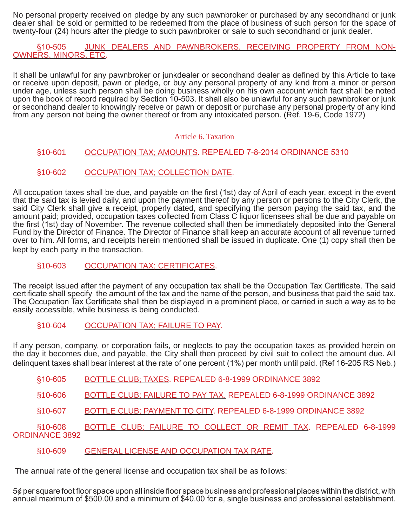No personal property received on pledge by any such pawnbroker or purchased by any secondhand or junk dealer shall be sold or permitted to be redeemed from the place of business of such person for the space of twenty-four (24) hours after the pledge to such pawnbroker or sale to such secondhand or junk dealer.

§10-505 JUNK DEALERS AND PAWNBROKERS. RECEIVING PROPERTY FROM NON-OWNERS, MINORS, ETC.

It shall be unlawful for any pawnbroker or junkdealer or secondhand dealer as defined by this Article to take or receive upon deposit, pawn or pledge, or buy any personal property of any kind from a minor or person under age, unless such person shall be doing business wholly on his own account which fact shall be noted upon the book of record required by Section 10-503. It shall also be unlawful for any such pawnbroker or junk or secondhand dealer to knowingly receive or pawn or deposit or purchase any personal property of any kind from any person not being the owner thereof or from any intoxicated person. (Ref. 19-6, Code 1972)

#### Article 6. Taxation

# §10-601 OCCUPATION TAX; AMOUNTS. REPEALED 7-8-2014 ORDINANCE 5310

§10-602 OCCUPATION TAX; COLLECTION DATE.

All occupation taxes shall be due, and payable on the first (1st) day of April of each year, except in the event that the said tax is levied daily, and upon the payment thereof by any person or persons to the City Clerk, the said City Clerk shall give a receipt, properly dated, and specifying the person paying the said tax, and the amount paid; provided, occupation taxes collected from Class C liquor licensees shall be due and payable on the first (1st) day of November. The revenue collected shall then be immediately deposited into the General Fund by the Director of Finance. The Director of Finance shall keep an accurate account of all revenue turned over to him. All forms, and receipts herein mentioned shall be issued in duplicate. One (1) copy shall then be kept by each party in the transaction.

# §10-603 OCCUPATION TAX; CERTIFICATES.

The receipt issued after the payment of any occupation tax shall be the Occupation Tax Certificate. The said certificate shall specify the amount of the tax and the name of the person, and business that paid the said tax. The Occupation Tax Certificate shall then be displayed in a prominent place, or carried in such a way as to be easily accessible, while business is being conducted.

#### §10-604 OCCUPATION TAX; FAILURE TO PAY.

If any person, company, or corporation fails, or neglects to pay the occupation taxes as provided herein on the day it becomes due, and payable, the City shall then proceed by civil suit to collect the amount due. All delinquent taxes shall bear interest at the rate of one percent (1%) per month until paid. (Ref 16-205 RS Neb.)

- §10-605 BOTTLE CLUB; TAXES. REPEALED 6-8-1999 ORDINANCE 3892
- §10-606 BOTTLE CLUB; FAILURE TO PAY TAX. REPEALED 6-8-1999 ORDINANCE 3892
- §10-607 BOTTLE CLUB; PAYMENT TO CITY. REPEALED 6-8-1999 ORDINANCE 3892

#### §10-608 BOTTLE CLUB; FAILURE TO COLLECT OR REMIT TAX. REPEALED 6-8-1999 ORDINANCE 3892

#### §10-609 GENERAL LICENSE AND OCCUPATION TAX RATE.

The annual rate of the general license and occupation tax shall be as follows:

5¢ per square foot floor space upon all inside floor space business and professional places within the district, with annual maximum of \$500.00 and a minimum of \$40.00 for a, single business and professional establishment.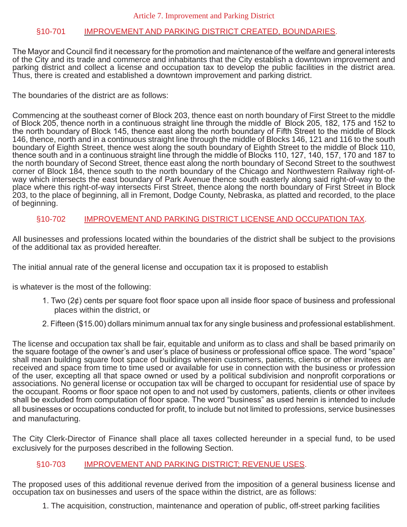#### §10-701 IMPROVEMENT AND PARKING DISTRICT CREATED, BOUNDARIES.

The Mayor and Council find it necessary for the promotion and maintenance of the welfare and general interests of the City and its trade and commerce and inhabitants that the City establish a downtown improvement and parking district and collect a license and occupation tax to develop the public facilities in the district area. Thus, there is created and established a downtown improvement and parking district.

The boundaries of the district are as follows:

Commencing at the southeast corner of Block 203, thence east on north boundary of First Street to the middle of Block 205, thence north in a continuous straight line through the middle of Block 205, 182, 175 and 152 to the north boundary of Block 145, thence east along the north boundary of Fifth Street to the middle of Block 146, thence, north and in a continuous straight line through the middle of Blocks 146, 121 and 116 to the south boundary of Eighth Street, thence west along the south boundary of Eighth Street to the middle of Block 110, thence south and in a continuous straight line through the middle of Blocks 110, 127, 140, 157, 170 and 187 to the north boundary of Second Street, thence east along the north boundary of Second Street to the southwest corner of Block 184, thence south to the north boundary of the Chicago and Northwestern Railway right-ofway which intersects the east boundary of Park Avenue thence south easterly along said right-of-way to the place where this right-of-way intersects First Street, thence along the north boundary of First Street in Block 203, to the place of beginning, all in Fremont, Dodge County, Nebraska, as platted and recorded, to the place of beginning.

#### §10-702 IMPROVEMENT AND PARKING DISTRICT LICENSE AND OCCUPATION TAX.

All businesses and professions located within the boundaries of the district shall be subject to the provisions of the additional tax as provided hereafter.

The initial annual rate of the general license and occupation tax it is proposed to establish

is whatever is the most of the following:

- 1. Two (2¢) cents per square foot floor space upon all inside floor space of business and professional places within the district, or
- 2. Fifteen (\$15.00) dollars minimum annual tax for any single business and professional establishment.

The license and occupation tax shall be fair, equitable and uniform as to class and shall be based primarily on the square footage of the owner's and user's place of business or professional office space. The word "space" shall mean building square foot space of buildings wherein customers, patients, clients or other invitees are received and space from time to time used or available for use in connection with the business or profession of the user, excepting all that space owned or used by a political subdivision and nonprofit corporations or associations. No general license or occupation tax will be charged to occupant for residential use of space by the occupant. Rooms or floor space not open to and not used by customers, patients, clients or other invitees shall be excluded from computation of floor space. The word "business" as used herein is intended to include all businesses or occupations conducted for profit, to include but not limited to professions, service businesses and manufacturing.

The City Clerk-Director of Finance shall place all taxes collected hereunder in a special fund, to be used exclusively for the purposes described in the following Section.

#### §10-703 IMPROVEMENT AND PARKING DISTRICT; REVENUE USES.

The proposed uses of this additional revenue derived from the imposition of a general business license and occupation tax on businesses and users of the space within the district, are as follows:

1. The acquisition, construction, maintenance and operation of public, off-street parking facilities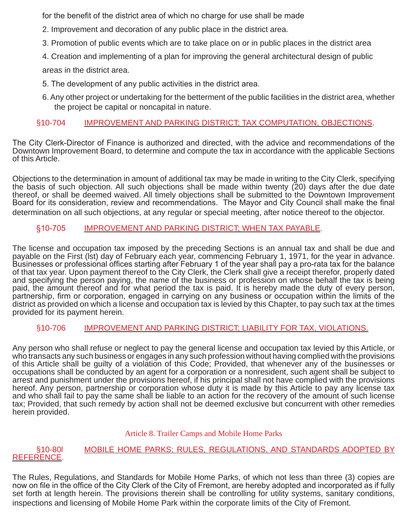for the benefit of the district area of which no charge for use shall be made

- 2. Improvement and decoration of any public place in the district area.
- 3. Promotion of public events which are to take place on or in public places in the district area
- 4. Creation and implementing of a plan for improving the general architectural design of public

areas in the district area.

- 5. The development of any public activities in the district area.
- 6. Any other project or undertaking for the betterment of the public facilities in the district area, whether the project be capital or noncapital in nature.

# §10-704 IMPROVEMENT AND PARKING DISTRICT; TAX COMPUTATION, OBJECTIONS.

The City Clerk-Director of Finance is authorized and directed, with the advice and recommendations of the Downtown Improvement Board, to determine and compute the tax in accordance with the applicable Sections of this Article.

Objections to the determination in amount of additional tax may be made in writing to the City Clerk, specifying the basis of such objection. All such objections shall be made within twenty (20) days after the due date thereof, or shall be deemed waived. All timely objections shall be submitted to the Downtown Improvement Board for its consideration, review and recommendations. The Mayor and City Council shall make the final determination on all such objections, at any regular or special meeting, after notice thereof to the objector.

# §10-705 IMPROVEMENT AND PARKING DISTRICT; WHEN TAX PAYABLE.

The license and occupation tax imposed by the preceding Sections is an annual tax and shall be due and payable on the First (lst) day of February each year, commencing February 1, 1971, for the year in advance. Businesses or professional offices starting after February 1 of the year shall pay a pro-rata tax for the balance of that tax year. Upon payment thereof to the City Clerk, the Clerk shall give a receipt therefor, properly dated and specifying the person paying, the name of the business or profession on whose behalf the tax is being paid, the amount thereof and for what period the tax is paid. It is hereby made the duty of every person, partnership, firm or corporation, engaged in carrying on any business or occupation within the limits of the district as provided on which a license and occupation tax is levied by this Chapter, to pay such tax at the times provided for its payment herein.

#### §10-706 IMPROVEMENT AND PARKING DISTRICT; LIABILITY FOR TAX, VIOLATIONS.

Any person who shall refuse or neglect to pay the general license and occupation tax levied by this Article, or who transacts any such business or engages in any such profession without having complied with the provisions of this Article shall be guilty of a violation of this Code; Provided, that whenever any of the businesses or occupations shall be conducted by an agent for a corporation or a nonresident, such agent shall be subject to arrest and punishment under the provisions hereof, if his principal shall not have complied with the provisions hereof. Any person, partnership or corporation whose duty it is made by this Article to pay any license tax and who shall fail to pay the same shall be liable to an action for the recovery of the amount of such license tax; Provided, that such remedy by action shall not be deemed exclusive but concurrent with other remedies herein provided.

#### Article 8. Trailer Camps and Mobile Home Parks

#### §10-80I MOBILE HOME PARKS; RULES, REGULATIONS, AND STANDARDS ADOPTED BY REFERENCE.

The Rules, Regulations, and Standards for Mobile Home Parks, of which not less than three (3) copies are now on file in the office of the City Clerk of the City of Fremont, are hereby adopted and incorporated as if fully set forth at length herein. The provisions therein shall be controlling for utility systems, sanitary conditions, inspections and licensing of Mobile Home Park within the corporate limits of the City of Fremont.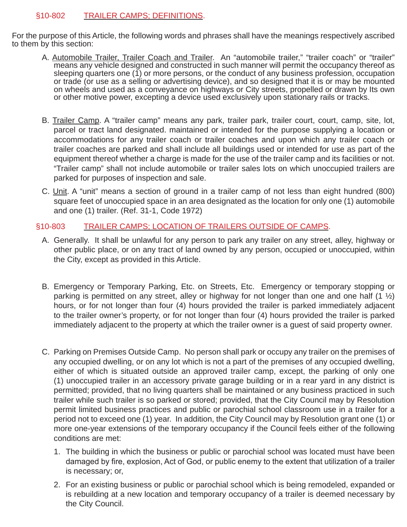# §10-802 TRAILER CAMPS; DEFINITIONS.

For the purpose of this Article, the following words and phrases shall have the meanings respectively ascribed to them by this section:

- A. Automobile Trailer, Trailer Coach and Trailer. An "automobile trailer," "trailer coach" or "trailer" means any vehicle designed and constructed in such manner will permit the occupancy thereof as sleeping quarters one (1) or more persons, or the conduct of any business profession, occupation or trade (or use as a selling or advertising device), and so designed that it is or may be mounted on wheels and used as a conveyance on highways or City streets, propelled or drawn by Its own or other motive power, excepting a device used exclusively upon stationary rails or tracks.
- B. Trailer Camp. A "trailer camp" means any park, trailer park, trailer court, court, camp, site, lot, parcel or tract land designated. maintained or intended for the purpose supplying a location or accommodations for any trailer coach or trailer coaches and upon which any trailer coach or trailer coaches are parked and shall include all buildings used or intended for use as part of the equipment thereof whether a charge is made for the use of the trailer camp and its facilities or not. "Trailer camp" shall not include automobile or trailer sales lots on which unoccupied trailers are parked for purposes of inspection and sale.
- C. Unit. A "unit" means a section of ground in a trailer camp of not less than eight hundred (800) square feet of unoccupied space in an area designated as the location for only one (1) automobile and one (1) trailer. (Ref. 31-1, Code 1972)

#### §10-803 TRAILER CAMPS; LOCATION OF TRAILERS OUTSIDE OF CAMPS.

- A. Generally. It shall be unlawful for any person to park any trailer on any street, alley, highway or other public place, or on any tract of land owned by any person, occupied or unoccupied, within the City, except as provided in this Article.
- B. Emergency or Temporary Parking, Etc. on Streets, Etc. Emergency or temporary stopping or parking is permitted on any street, alley or highway for not longer than one and one half  $(1 \frac{1}{2})$ hours, or for not longer than four (4) hours provided the trailer is parked immediately adjacent to the trailer owner's property, or for not longer than four (4) hours provided the trailer is parked immediately adjacent to the property at which the trailer owner is a guest of said property owner.
- C. Parking on Premises Outside Camp. No person shall park or occupy any trailer on the premises of any occupied dwelling, or on any lot which is not a part of the premises of any occupied dwelling, either of which is situated outside an approved trailer camp, except, the parking of only one (1) unoccupied trailer in an accessory private garage building or in a rear yard in any district is permitted; provided, that no living quarters shall be maintained or any business practiced in such trailer while such trailer is so parked or stored; provided, that the City Council may by Resolution permit limited business practices and public or parochial school classroom use in a trailer for a period not to exceed one (1) year. In addition, the City Council may by Resolution grant one (1) or more one-year extensions of the temporary occupancy if the Council feels either of the following conditions are met:
	- 1. The building in which the business or public or parochial school was located must have been damaged by fire, explosion, Act of God, or public enemy to the extent that utilization of a trailer is necessary; or,
	- 2. For an existing business or public or parochial school which is being remodeled, expanded or is rebuilding at a new location and temporary occupancy of a trailer is deemed necessary by the City Council.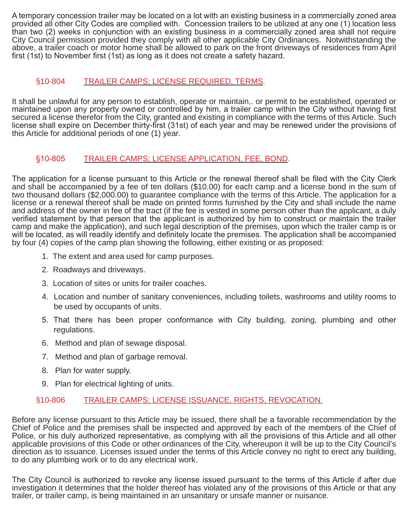A temporary concession trailer may be located on a lot with an existing business in a commercially zoned area provided all other City Codes are complied with. Concession trailers to be utilized at any one (1) location less than two (2) weeks in conjunction with an existing business in a commercially zoned area shall not require City Council permission provided they comply with all other applicable City Ordinances. Notwithstanding the above, a trailer coach or motor home shall be allowed to park on the front driveways of residences from April first (1st) to November first (1st) as long as it does not create a safety hazard.

# §10-804 TRAILER CAMPS; LICENSE REQUIRED, TERMS.

It shall be unlawful for any person to establish, operate or maintain,. or permit to be established, operated or maintained upon any property owned or controlled by him, a trailer camp within the City without having first secured a license therefor from the City, granted and existing in compliance with the terms of this Article. Such license shall expire on December thirty-first (31st) of each year and may be renewed under the provisions of this Article for additional periods of one (1) year.

# §10-805 TRAILER CAMPS; LICENSE APPLICATION, FEE, BOND.

The application for a license pursuant to this Article or the renewal thereof shall be filed with the City Clerk and shall be accompanied by a fee of ten dollars (\$10.00) for each camp and a license bond in the sum of two thousand dollars (\$2,000.00) to guarantee compliance with the terms of this Article. The application for a license or a renewal thereof shall be made on printed forms furnished by the City and shall include the name and address of the owner in fee of the tract (if the fee is vested in some person other than the applicant, a duly verified statement by that person that the applicant is authorized by him to construct or maintain the trailer camp and make the application), and such legal description of the premises, upon which the trailer camp is or will be located, as will readily identify and definitely locate the premises. The application shall be accompanied by four (4) copies of the camp plan showing the following, either existing or as proposed:

- 1. The extent and area used for camp purposes.
- 2. Roadways and driveways.
- 3. Location of sites or units for trailer coaches.
- 4. Location and number of sanitary conveniences, including toilets, washrooms and utility rooms to be used by occupants of units.
- 5. That there has been proper conformance with City building, zoning, plumbing and other regulations.
- 6. Method and plan of sewage disposal.
- 7. Method and plan of garbage removal.
- 8. Plan for water supply.
- 9. Plan for electrical lighting of units.

# §10-806 TRAILER CAMPS; LICENSE ISSUANCE, RIGHTS, REVOCATION.

Before any license pursuant to this Article may be issued, there shall be a favorable recommendation by the Chief of Police and the premises shall be inspected and approved by each of the members of the Chief of Police, or his duly authorized representative, as complying with all the provisions of this Article and all other applicable provisions of this Code or other ordinances of the City, whereupon it will be up to the City Council's direction as to issuance. Licenses issued under the terms of this Article convey no right to erect any building, to do any plumbing work or to do any electrical work.

The City Council is authorized to revoke any license issued pursuant to the terms of this Article if after due investigation it determines that the holder thereof has violated any of the provisions of this Article or that any trailer, or trailer camp, is being maintained in an unsanitary or unsafe manner or nuisance.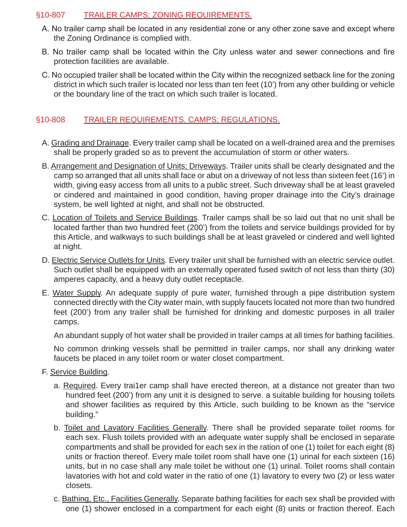# §10-807 TRAILER CAMPS; ZONING REQUIREMENTS.

- A. No trailer camp shall be located in any residential zone or any other zone save and except where the Zoning Ordinance is complied with.
- B. No trailer camp shall be located within the City unless water and sewer connections and fire protection facilities are available.
- C. No occupied trailer shall be located within the City within the recognized setback line for the zoning district in which such trailer is located nor less than ten feet (10') from any other building or vehicle or the boundary line of the tract on which such trailer is located.

# §10-808 TRAILER REQUIREMENTS. CAMPS; REGULATIONS.

- A. Grading and Drainage. Every trailer camp shall be located on a well-drained area and the premises shall be properly graded so as to prevent the accumulation of storm or other waters.
- B. Arrangement and Designation of Units; Driveways. Trailer units shall be clearly designated and the camp so arranged that all units shall face or abut on a driveway of not less than sixteen feet (16') in width, giving easy access from all units to a public street. Such driveway shall be at least graveled or cindered and maintained in good condition, having proper drainage into the City's drainage system, be well lighted at night, and shall not be obstructed.
- C. Location of Toilets and Service Buildings. Trailer camps shall be so laid out that no unit shall be located farther than two hundred feet (200') from the toilets and service buildings provided for by this Article, and walkways to such buildings shall be at least graveled or cindered and well lighted at night.
- D. Electric Service Outlets for Units. Every trailer unit shall be furnished with an electric service outlet. Such outlet shall be equipped with an externally operated fused switch of not less than thirty (30) amperes capacity, and a heavy duty outlet receptacle.
- E. Water Supply. An adequate supply of pure water, furnished through a pipe distribution system connected directly with the City water main, with supply faucets located not more than two hundred feet (200') from any trailer shall be furnished for drinking and domestic purposes in all trailer camps.

An abundant supply of hot water shall be provided in trailer camps at all times for bathing facilities.

No common drinking vessels shall be permitted in trailer camps, nor shall any drinking water faucets be placed in any toilet room or water closet compartment.

- F. Service Building.
	- a. Required. Every trai1er camp shall have erected thereon, at a distance not greater than two hundred feet (200') from any unit it is designed to serve. a suitable building for housing toilets and shower facilities as required by this Article, such building to be known as the "service building."
	- b. Toilet and Lavatory Facilities Generally. There shall be provided separate toilet rooms for each sex. Flush toilets provided with an adequate water supply shall be enclosed in separate compartments and shall be provided for each sex in the ration of one (1) toilet for each eight (8) units or fraction thereof. Every male toilet room shall have one (1) urinal for each sixteen (16) units, but in no case shall any male toilet be without one (1) urinal. Toilet rooms shall contain lavatories with hot and cold water in the ratio of one (1) lavatory to every two (2) or less water closets.
	- c. Bathing, Etc., Facilities Generally. Separate bathing facilities for each sex shall be provided with one (1) shower enclosed in a compartment for each eight (8) units or fraction thereof. Each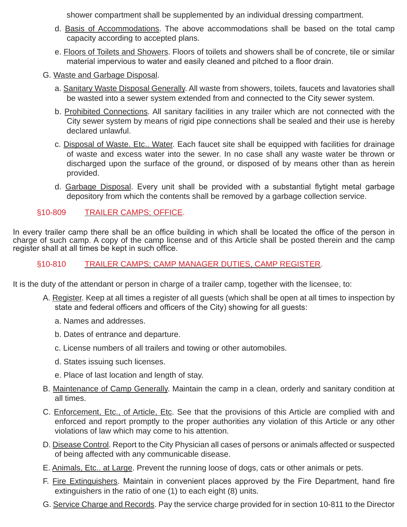shower compartment shall be supplemented by an individual dressing compartment.

- d. Basis of Accommodations. The above accommodations shall be based on the total camp capacity according to accepted plans.
- e. Floors of Toilets and Showers. Floors of toilets and showers shall be of concrete, tile or similar material impervious to water and easily cleaned and pitched to a floor drain.
- G. Waste and Garbage Disposal.
	- a. Sanitary Waste Disposal Generally. All waste from showers, toilets, faucets and lavatories shall be wasted into a sewer system extended from and connected to the City sewer system.
	- b. Prohibited Connections. All sanitary facilities in any trailer which are not connected with the City sewer system by means of rigid pipe connections shall be sealed and their use is hereby declared unlawful.
	- c. Disposal of Waste. Etc.. Water. Each faucet site shall be equipped with facilities for drainage of waste and excess water into the sewer. In no case shall any waste water be thrown or discharged upon the surface of the ground, or disposed of by means other than as herein provided.
	- d. Garbage Disposal. Every unit shall be provided with a substantial flytight metal garbage depository from which the contents shall be removed by a garbage collection service.

# §10-809 TRAILER CAMPS; OFFICE.

In every trailer camp there shall be an office building in which shall be located the office of the person in charge of such camp. A copy of the camp license and of this Article shall be posted therein and the camp register shall at all times be kept in such office.

# §10-810 TRAILER CAMPS; CAMP MANAGER DUTIES, CAMP REGISTER.

It is the duty of the attendant or person in charge of a trailer camp, together with the licensee, to:

- A. Register. Keep at all times a register of all guests (which shall be open at all times to inspection by state and federal officers and officers of the City) showing for all guests:
	- a. Names and addresses.
	- b. Dates of entrance and departure.
	- c. License numbers of all trailers and towing or other automobiles.
	- d. States issuing such licenses.
	- e. Place of last location and length of stay.
- B. Maintenance of Camp Generally. Maintain the camp in a clean, orderly and sanitary condition at all times.
- C. Enforcement, Etc., of Article, Etc. See that the provisions of this Article are complied with and enforced and report promptly to the proper authorities any violation of this Article or any other violations of law which may come to his attention.
- D. Disease Control. Report to the City Physician all cases of persons or animals affected or suspected of being affected with any communicable disease.
- E. Animals, Etc.. at Large. Prevent the running loose of dogs, cats or other animals or pets.
- F. Fire Extinguishers. Maintain in convenient places approved by the Fire Department, hand fire extinguishers in the ratio of one (1) to each eight (8) units.
- G. Service Charge and Records. Pay the service charge provided for in section 10-811 to the Director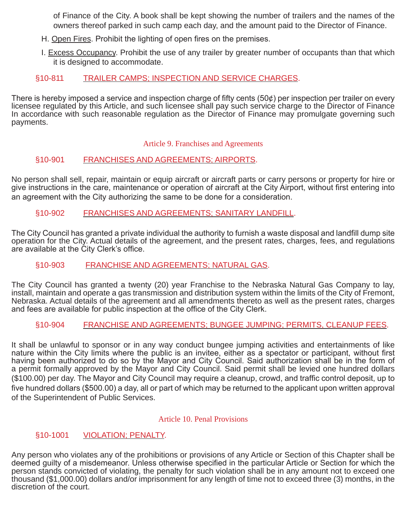of Finance of the City. A book shall be kept showing the number of trailers and the names of the owners thereof parked in such camp each day, and the amount paid to the Director of Finance.

- H. Open Fires. Prohibit the lighting of open fires on the premises.
- I. Excess Occupancy. Prohibit the use of any trailer by greater number of occupants than that which it is designed to accommodate.

# §10-811 TRAILER CAMPS; INSPECTION AND SERVICE CHARGES.

There is hereby imposed a service and inspection charge of fifty cents (50¢) per inspection per trailer on every licensee regulated by this Article, and such licensee shall pay such service charge to the Director of Finance In accordance with such reasonable regulation as the Director of Finance may promulgate governing such payments.

#### Article 9. Franchises and Agreements

# §10-901 FRANCHISES AND AGREEMENTS; AIRPORTS.

No person shall sell, repair, maintain or equip aircraft or aircraft parts or carry persons or property for hire or give instructions in the care, maintenance or operation of aircraft at the City Airport, without first entering into an agreement with the City authorizing the same to be done for a consideration.

#### §10-902 FRANCHISES AND AGREEMENTS; SANITARY LANDFILL.

The City Council has granted a private individual the authority to furnish a waste disposal and landfill dump site operation for the City. Actual details of the agreement, and the present rates, charges, fees, and regulations are available at the City Clerk's office.

#### §10-903 FRANCHISE AND AGREEMENTS; NATURAL GAS.

The City Council has granted a twenty (20) year Franchise to the Nebraska Natural Gas Company to lay, install, maintain and operate a gas transmission and distribution system within the limits of the City of Fremont, Nebraska. Actual details of the agreement and all amendments thereto as well as the present rates, charges and fees are available for public inspection at the office of the City Clerk.

#### §10-904 FRANCHISE AND AGREEMENTS; BUNGEE JUMPING; PERMITS, CLEANUP FEES.

It shall be unlawful to sponsor or in any way conduct bungee jumping activities and entertainments of like nature within the City limits where the public is an invitee, either as a spectator or participant, without first having been authorized to do so by the Mayor and City Council. Said authorization shall be in the form of a permit formally approved by the Mayor and City Council. Said permit shall be levied one hundred dollars (\$100.00) per day. The Mayor and City Council may require a cleanup, crowd, and traffic control deposit, up to five hundred dollars (\$500.00) a day, all or part of which may be returned to the applicant upon written approval of the Superintendent of Public Services.

#### Article 10. Penal Provisions

#### §10-1001 VIOLATION; PENALTY.

Any person who violates any of the prohibitions or provisions of any Article or Section of this Chapter shall be deemed guilty of a misdemeanor. Unless otherwise specified in the particular Article or Section for which the person stands convicted of violating, the penalty for such violation shall be in any amount not to exceed one thousand (\$1,000.00) dollars and/or imprisonment for any length of time not to exceed three (3) months, in the discretion of the court.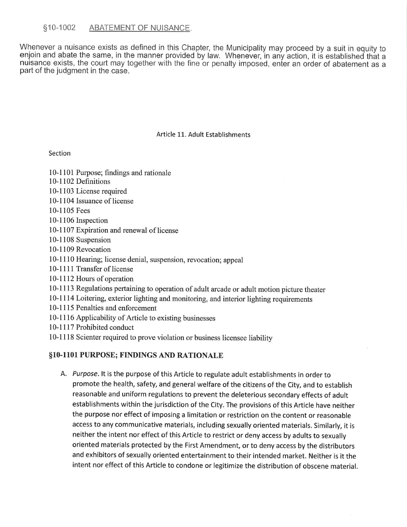#### \$10-1002 ABATEMENT OF NUISANCE.

Whenever a nuisance exists as defined in this Chapter, the Municipality may proceed by a suit in equity to enjoin and abate the same, in the manner provided by law. Whenever, in any action, it is established that a nuisance exists, the court may together with the fine or penalty imposed, enter an order of abatement as a part of the judgment in the case.

#### Article 11. Adult Establishments

#### Section

- 10-1101 Purpose; findings and rationale
- 10-1102 Definitions
- 10-1103 License required
- 10-1104 Issuance of license
- 10-1105 Fees
- 10-1106 Inspection
- 10-1107 Expiration and renewal of license
- 10-1108 Suspension
- 10-1109 Revocation
- 10-1110 Hearing; license denial, suspension, revocation; appeal
- 10-1111 Transfer of license
- 10-1112 Hours of operation
- 10-1113 Regulations pertaining to operation of adult arcade or adult motion picture theater
- 10-1114 Loitering, exterior lighting and monitoring, and interior lighting requirements
- 10-1115 Penalties and enforcement
- 10-1116 Applicability of Article to existing businesses
- 10-1117 Prohibited conduct
- 10-1118 Scienter required to prove violation or business licensee liability

#### §10-1101 PURPOSE; FINDINGS AND RATIONALE

A. Purpose. It is the purpose of this Article to regulate adult establishments in order to promote the health, safety, and general welfare of the citizens of the City, and to establish reasonable and uniform regulations to prevent the deleterious secondary effects of adult establishments within the jurisdiction of the City. The provisions of this Article have neither the purpose nor effect of imposing a limitation or restriction on the content or reasonable access to any communicative materials, including sexually oriented materials. Similarly, it is neither the intent nor effect of this Article to restrict or deny access by adults to sexually oriented materials protected by the First Amendment, or to deny access by the distributors and exhibitors of sexually oriented entertainment to their intended market. Neither is it the intent nor effect of this Article to condone or legitimize the distribution of obscene material.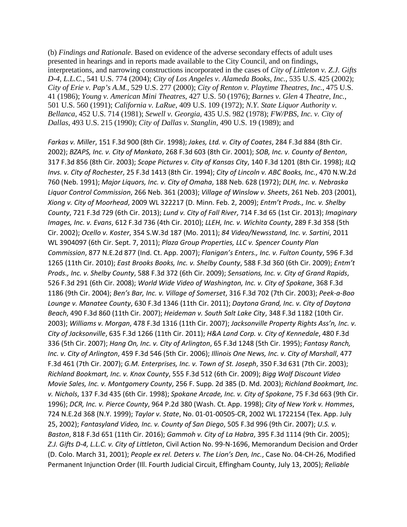(b) *Findings and Rationale*. Based on evidence of the adverse secondary effects of adult uses presented in hearings and in reports made available to the City Council, and on findings, interpretations, and narrowing constructions incorporated in the cases of *City of Littleton v. Z.J. Gifts D-4, L.L.C.*, 541 U.S. 774 (2004); *City of Los Angeles v. Alameda Books, Inc.*, 535 U.S. 425 (2002); *City of Erie v. Pap's A.M.,* 529 U.S. 277 (2000); *City of Renton v. Playtime Theatres, Inc.*, 475 U.S. 41 (1986); *Young v. American Mini Theatres*, 427 U.S. 50 (1976); *Barnes v. Glen* 4 *Theatre, Inc.*, 501 U.S. 560 (1991); *California v. LaRue*, 409 U.S. 109 (1972); *N.Y. State Liquor Authority v. Bellanca*, 452 U.S. 714 (1981); *Sewell v. Georgia*, 435 U.S. 982 (1978); *FW/PBS, Inc. v. City of Dallas*, 493 U.S. 215 (1990); *City of Dallas v. Stanglin*, 490 U.S. 19 (1989); and

*Farkas v. Miller*, 151 F.3d 900 (8th Cir. 1998); *Jakes, Ltd. v. City of Coates*, 284 F.3d 884 (8th Cir. 2002); *BZAPS, Inc. v. City of Mankato*, 268 F.3d 603 (8th Cir. 2001); *SOB, Inc. v. County of Benton*, 317 F.3d 856 (8th Cir. 2003); *Scope Pictures v. City of Kansas City*, 140 F.3d 1201 (8th Cir. 1998); *ILQ Invs. v. City of Rochester*, 25 F.3d 1413 (8th Cir. 1994); *City of Lincoln v. ABC Books, Inc.*, 470 N.W.2d 760 (Neb. 1991); *Major Liquors, Inc. v. City of Omaha*, 188 Neb. 628 (1972); *DLH, Inc. v. Nebraska Liquor Control Commission*, 266 Neb. 361 (2003); *Village of Winslow v. Sheets*, 261 Neb. 203 (2001), *Xiong v. City of Moorhead*, 2009 WL 322217 (D. Minn. Feb. 2, 2009); *Entm't Prods., Inc. v. Shelby County*, 721 F.3d 729 (6th Cir. 2013); *Lund v. City of Fall River*, 714 F.3d 65 (1st Cir. 2013); *Imaginary Images, Inc. v. Evans*, 612 F.3d 736 (4th Cir. 2010); *LLEH, Inc. v. Wichita County*, 289 F.3d 358 (5th Cir. 2002); *Ocello v. Koster*, 354 S.W.3d 187 (Mo. 2011); *84 Video/Newsstand, Inc. v. Sartini*, 2011 WL 3904097 (6th Cir. Sept. 7, 2011); *Plaza Group Properties, LLC v. Spencer County Plan Commission*, 877 N.E.2d 877 (Ind. Ct. App. 2007); *Flanigan's Enters., Inc. v. Fulton County*, 596 F.3d 1265 (11th Cir. 2010); *East Brooks Books, Inc. v. Shelby County*, 588 F.3d 360 (6th Cir. 2009); *Entm't Prods., Inc. v. Shelby County*, 588 F.3d 372 (6th Cir. 2009); *Sensations, Inc. v. City of Grand Rapids*, 526 F.3d 291 (6th Cir. 2008); *World Wide Video of Washington, Inc. v. City of Spokane*, 368 F.3d 1186 (9th Cir. 2004); *Ben's Bar, Inc. v. Village of Somerset*, 316 F.3d 702 (7th Cir. 2003); *Peek-a-Boo Lounge v. Manatee County*, 630 F.3d 1346 (11th Cir. 2011); *Daytona Grand, Inc. v. City of Daytona Beach*, 490 F.3d 860 (11th Cir. 2007); *Heideman v. South Salt Lake City*, 348 F.3d 1182 (10th Cir. 2003); *Williams v. Morgan*, 478 F.3d 1316 (11th Cir. 2007); *Jacksonville Property Rights Ass'n, Inc. v. City of Jacksonville*, 635 F.3d 1266 (11th Cir. 2011); *H&A Land Corp. v. City of Kennedale*, 480 F.3d 336 (5th Cir. 2007); *Hang On, Inc. v. City of Arlington*, 65 F.3d 1248 (5th Cir. 1995); *Fantasy Ranch, Inc. v. City of Arlington*, 459 F.3d 546 (5th Cir. 2006); *Illinois One News, Inc. v. City of Marshall*, 477 F.3d 461 (7th Cir. 2007); *G.M. Enterprises, Inc. v. Town of St. Joseph*, 350 F.3d 631 (7th Cir. 2003); *Richland Bookmart, Inc. v. Knox County*, 555 F.3d 512 (6th Cir. 2009); *Bigg Wolf Discount Video Movie Sales, Inc. v. Montgomery County*, 256 F. Supp. 2d 385 (D. Md. 2003); *Richland Bookmart, Inc. v. Nichols*, 137 F.3d 435 (6th Cir. 1998); *Spokane Arcade, Inc. v. City of Spokane*, 75 F.3d 663 (9th Cir. 1996); *DCR, Inc. v. Pierce County*, 964 P.2d 380 (Wash. Ct. App. 1998); *City of New York v. Hommes*, 724 N.E.2d 368 (N.Y. 1999); *Taylor v. State*, No. 01-01-00505-CR, 2002 WL 1722154 (Tex. App. July 25, 2002); *Fantasyland Video, Inc. v. County of San Diego*, 505 F.3d 996 (9th Cir. 2007); *U.S. v. Baston*, 818 F.3d 651 (11th Cir. 2016); *Gammoh v. City of La Habra*, 395 F.3d 1114 (9th Cir. 2005); *Z.J. Gifts D-4, L.L.C. v. City of Littleton*, Civil Action No. 99-N-1696, Memorandum Decision and Order (D. Colo. March 31, 2001); *People ex rel. Deters v. The Lion's Den, Inc.*, Case No. 04-CH-26, Modified Permanent Injunction Order (Ill. Fourth Judicial Circuit, Effingham County, July 13, 2005); *Reliable*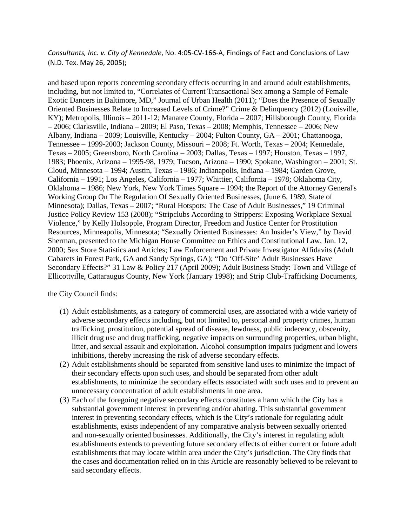*Consultants, Inc. v. City of Kennedale*, No. 4:05-CV-166-A, Findings of Fact and Conclusions of Law (N.D. Tex. May 26, 2005);

and based upon reports concerning secondary effects occurring in and around adult establishments, including, but not limited to, "Correlates of Current Transactional Sex among a Sample of Female Exotic Dancers in Baltimore, MD," Journal of Urban Health (2011); "Does the Presence of Sexually Oriented Businesses Relate to Increased Levels of Crime?" Crime & Delinquency (2012) (Louisville, KY); Metropolis, Illinois – 2011-12; Manatee County, Florida – 2007; Hillsborough County, Florida – 2006; Clarksville, Indiana – 2009; El Paso, Texas – 2008; Memphis, Tennessee – 2006; New Albany, Indiana – 2009; Louisville, Kentucky – 2004; Fulton County, GA – 2001; Chattanooga, Tennessee – 1999-2003; Jackson County, Missouri – 2008; Ft. Worth, Texas – 2004; Kennedale, Texas – 2005; Greensboro, North Carolina – 2003; Dallas, Texas – 1997; Houston, Texas – 1997, 1983; Phoenix, Arizona – 1995-98, 1979; Tucson, Arizona – 1990; Spokane, Washington – 2001; St. Cloud, Minnesota – 1994; Austin, Texas – 1986; Indianapolis, Indiana – 1984; Garden Grove, California – 1991; Los Angeles, California – 1977; Whittier, California – 1978; Oklahoma City, Oklahoma – 1986; New York, New York Times Square – 1994; the Report of the Attorney General's Working Group On The Regulation Of Sexually Oriented Businesses, (June 6, 1989, State of Minnesota); Dallas, Texas – 2007; "Rural Hotspots: The Case of Adult Businesses," 19 Criminal Justice Policy Review 153 (2008); "Stripclubs According to Strippers: Exposing Workplace Sexual Violence," by Kelly Holsopple, Program Director, Freedom and Justice Center for Prostitution Resources, Minneapolis, Minnesota; "Sexually Oriented Businesses: An Insider's View," by David Sherman, presented to the Michigan House Committee on Ethics and Constitutional Law, Jan. 12, 2000; Sex Store Statistics and Articles; Law Enforcement and Private Investigator Affidavits (Adult Cabarets in Forest Park, GA and Sandy Springs, GA); "Do 'Off-Site' Adult Businesses Have Secondary Effects?" 31 Law & Policy 217 (April 2009); Adult Business Study: Town and Village of Ellicottville, Cattaraugus County, New York (January 1998); and Strip Club-Trafficking Documents,

the City Council finds:

- (1) Adult establishments, as a category of commercial uses, are associated with a wide variety of adverse secondary effects including, but not limited to, personal and property crimes, human trafficking, prostitution, potential spread of disease, lewdness, public indecency, obscenity, illicit drug use and drug trafficking, negative impacts on surrounding properties, urban blight, litter, and sexual assault and exploitation. Alcohol consumption impairs judgment and lowers inhibitions, thereby increasing the risk of adverse secondary effects.
- (2) Adult establishments should be separated from sensitive land uses to minimize the impact of their secondary effects upon such uses, and should be separated from other adult establishments, to minimize the secondary effects associated with such uses and to prevent an unnecessary concentration of adult establishments in one area.
- (3) Each of the foregoing negative secondary effects constitutes a harm which the City has a substantial government interest in preventing and/or abating. This substantial government interest in preventing secondary effects, which is the City's rationale for regulating adult establishments, exists independent of any comparative analysis between sexually oriented and non-sexually oriented businesses. Additionally, the City's interest in regulating adult establishments extends to preventing future secondary effects of either current or future adult establishments that may locate within area under the City's jurisdiction. The City finds that the cases and documentation relied on in this Article are reasonably believed to be relevant to said secondary effects.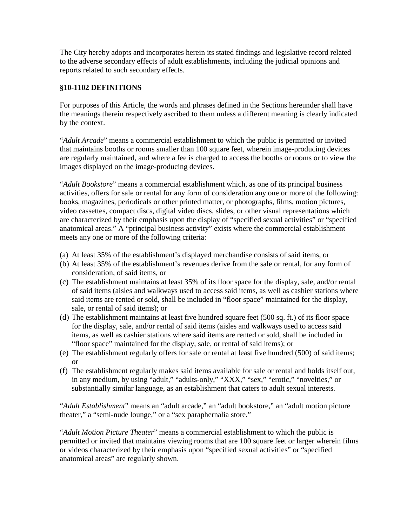The City hereby adopts and incorporates herein its stated findings and legislative record related to the adverse secondary effects of adult establishments, including the judicial opinions and reports related to such secondary effects.

#### **§10-1102 DEFINITIONS**

For purposes of this Article, the words and phrases defined in the Sections hereunder shall have the meanings therein respectively ascribed to them unless a different meaning is clearly indicated by the context.

"*Adult Arcade*" means a commercial establishment to which the public is permitted or invited that maintains booths or rooms smaller than 100 square feet, wherein image-producing devices are regularly maintained, and where a fee is charged to access the booths or rooms or to view the images displayed on the image-producing devices.

"*Adult Bookstore*" means a commercial establishment which, as one of its principal business activities, offers for sale or rental for any form of consideration any one or more of the following: books, magazines, periodicals or other printed matter, or photographs, films, motion pictures, video cassettes, compact discs, digital video discs, slides, or other visual representations which are characterized by their emphasis upon the display of "specified sexual activities" or "specified anatomical areas." A "principal business activity" exists where the commercial establishment meets any one or more of the following criteria:

- (a) At least 35% of the establishment's displayed merchandise consists of said items, or
- (b) At least 35% of the establishment's revenues derive from the sale or rental, for any form of consideration, of said items, or
- (c) The establishment maintains at least 35% of its floor space for the display, sale, and/or rental of said items (aisles and walkways used to access said items, as well as cashier stations where said items are rented or sold, shall be included in "floor space" maintained for the display, sale, or rental of said items); or
- (d) The establishment maintains at least five hundred square feet (500 sq. ft.) of its floor space for the display, sale, and/or rental of said items (aisles and walkways used to access said items, as well as cashier stations where said items are rented or sold, shall be included in "floor space" maintained for the display, sale, or rental of said items); or
- (e) The establishment regularly offers for sale or rental at least five hundred (500) of said items; or
- (f) The establishment regularly makes said items available for sale or rental and holds itself out, in any medium, by using "adult," "adults-only," "XXX," "sex," "erotic," "novelties," or substantially similar language, as an establishment that caters to adult sexual interests.

"*Adult Establishment*" means an "adult arcade," an "adult bookstore," an "adult motion picture theater," a "semi-nude lounge," or a "sex paraphernalia store."

"*Adult Motion Picture Theater*" means a commercial establishment to which the public is permitted or invited that maintains viewing rooms that are 100 square feet or larger wherein films or videos characterized by their emphasis upon "specified sexual activities" or "specified anatomical areas" are regularly shown.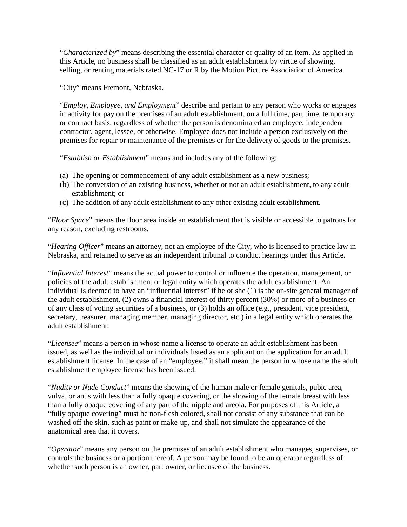"*Characterized by*" means describing the essential character or quality of an item. As applied in this Article, no business shall be classified as an adult establishment by virtue of showing, selling, or renting materials rated NC-17 or R by the Motion Picture Association of America.

"City" means Fremont, Nebraska.

"*Employ, Employee, and Employment*" describe and pertain to any person who works or engages in activity for pay on the premises of an adult establishment, on a full time, part time, temporary, or contract basis, regardless of whether the person is denominated an employee, independent contractor, agent, lessee, or otherwise. Employee does not include a person exclusively on the premises for repair or maintenance of the premises or for the delivery of goods to the premises.

"*Establish or Establishment*" means and includes any of the following:

- (a) The opening or commencement of any adult establishment as a new business;
- (b) The conversion of an existing business, whether or not an adult establishment, to any adult establishment; or
- (c) The addition of any adult establishment to any other existing adult establishment.

"*Floor Space*" means the floor area inside an establishment that is visible or accessible to patrons for any reason, excluding restrooms.

"*Hearing Officer*" means an attorney, not an employee of the City, who is licensed to practice law in Nebraska, and retained to serve as an independent tribunal to conduct hearings under this Article.

"*Influential Interest*" means the actual power to control or influence the operation, management, or policies of the adult establishment or legal entity which operates the adult establishment. An individual is deemed to have an "influential interest" if he or she (1) is the on-site general manager of the adult establishment, (2) owns a financial interest of thirty percent (30%) or more of a business or of any class of voting securities of a business, or (3) holds an office (e.g., president, vice president, secretary, treasurer, managing member, managing director, etc.) in a legal entity which operates the adult establishment.

"*Licensee*" means a person in whose name a license to operate an adult establishment has been issued, as well as the individual or individuals listed as an applicant on the application for an adult establishment license. In the case of an "employee," it shall mean the person in whose name the adult establishment employee license has been issued.

"*Nudity or Nude Conduct*" means the showing of the human male or female genitals, pubic area, vulva, or anus with less than a fully opaque covering, or the showing of the female breast with less than a fully opaque covering of any part of the nipple and areola. For purposes of this Article, a "fully opaque covering" must be non-flesh colored, shall not consist of any substance that can be washed off the skin, such as paint or make-up, and shall not simulate the appearance of the anatomical area that it covers.

"*Operator*" means any person on the premises of an adult establishment who manages, supervises, or controls the business or a portion thereof. A person may be found to be an operator regardless of whether such person is an owner, part owner, or licensee of the business.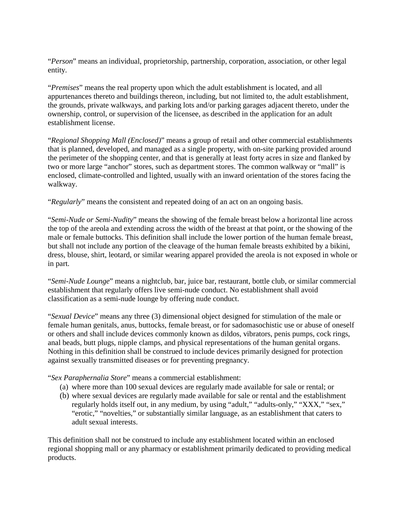"*Person*" means an individual, proprietorship, partnership, corporation, association, or other legal entity.

"*Premises*" means the real property upon which the adult establishment is located, and all appurtenances thereto and buildings thereon, including, but not limited to, the adult establishment, the grounds, private walkways, and parking lots and/or parking garages adjacent thereto, under the ownership, control, or supervision of the licensee, as described in the application for an adult establishment license.

"*Regional Shopping Mall (Enclosed)*" means a group of retail and other commercial establishments that is planned, developed, and managed as a single property, with on-site parking provided around the perimeter of the shopping center, and that is generally at least forty acres in size and flanked by two or more large "anchor" stores, such as department stores. The common walkway or "mall" is enclosed, climate-controlled and lighted, usually with an inward orientation of the stores facing the walkway.

"*Regularly*" means the consistent and repeated doing of an act on an ongoing basis.

"*Semi-Nude or Semi-Nudity*" means the showing of the female breast below a horizontal line across the top of the areola and extending across the width of the breast at that point, or the showing of the male or female buttocks. This definition shall include the lower portion of the human female breast, but shall not include any portion of the cleavage of the human female breasts exhibited by a bikini, dress, blouse, shirt, leotard, or similar wearing apparel provided the areola is not exposed in whole or in part.

"*Semi-Nude Lounge*" means a nightclub, bar, juice bar, restaurant, bottle club, or similar commercial establishment that regularly offers live semi-nude conduct. No establishment shall avoid classification as a semi-nude lounge by offering nude conduct.

"*Sexual Device*" means any three (3) dimensional object designed for stimulation of the male or female human genitals, anus, buttocks, female breast, or for sadomasochistic use or abuse of oneself or others and shall include devices commonly known as dildos, vibrators, penis pumps, cock rings, anal beads, butt plugs, nipple clamps, and physical representations of the human genital organs. Nothing in this definition shall be construed to include devices primarily designed for protection against sexually transmitted diseases or for preventing pregnancy.

"*Sex Paraphernalia Store*" means a commercial establishment:

- (a) where more than 100 sexual devices are regularly made available for sale or rental; or
- (b) where sexual devices are regularly made available for sale or rental and the establishment regularly holds itself out, in any medium, by using "adult," "adults-only," "XXX," "sex," "erotic," "novelties," or substantially similar language, as an establishment that caters to adult sexual interests.

This definition shall not be construed to include any establishment located within an enclosed regional shopping mall or any pharmacy or establishment primarily dedicated to providing medical products.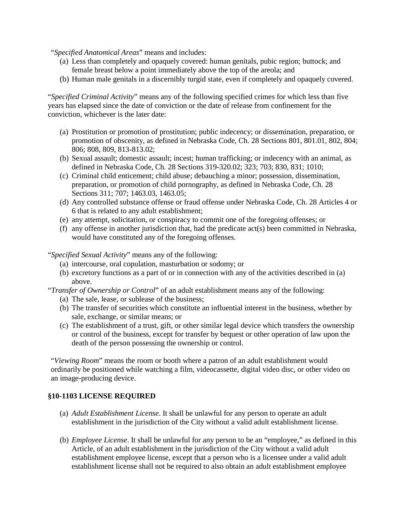"*Specified Anatomical Areas*" means and includes:

- (a) Less than completely and opaquely covered: human genitals, pubic region; buttock; and female breast below a point immediately above the top of the areola; and
- (b) Human male genitals in a discernibly turgid state, even if completely and opaquely covered.

"*Specified Criminal Activity*" means any of the following specified crimes for which less than five years has elapsed since the date of conviction or the date of release from confinement for the conviction, whichever is the later date:

- (a) Prostitution or promotion of prostitution; public indecency; or dissemination, preparation, or promotion of obscenity, as defined in Nebraska Code, Ch. 28 Sections 801, 801.01, 802, 804; 806; 808, 809, 813-813.02;
- (b) Sexual assault; domestic assault; incest; human trafficking; or indecency with an animal, as defined in Nebraska Code, Ch. 28 Sections 319-320.02; 323; 703; 830, 831; 1010;
- (c) Criminal child enticement; child abuse; debauching a minor; possession, dissemination, preparation, or promotion of child pornography, as defined in Nebraska Code, Ch. 28 Sections 311; 707; 1463.03, 1463.05;
- (d) Any controlled substance offense or fraud offense under Nebraska Code, Ch. 28 Articles 4 or 6 that is related to any adult establishment;
- (e) any attempt, solicitation, or conspiracy to commit one of the foregoing offenses; or
- (f) any offense in another jurisdiction that, had the predicate act(s) been committed in Nebraska, would have constituted any of the foregoing offenses.

"*Specified Sexual Activity*" means any of the following:

- (a) intercourse, oral copulation, masturbation or sodomy; or
- (b) excretory functions as a part of or in connection with any of the activities described in (a) above.

"*Transfer of Ownership or Control*" of an adult establishment means any of the following:

- (a) The sale, lease, or sublease of the business;
- (b) The transfer of securities which constitute an influential interest in the business, whether by sale, exchange, or similar means; or
- (c) The establishment of a trust, gift, or other similar legal device which transfers the ownership or control of the business, except for transfer by bequest or other operation of law upon the death of the person possessing the ownership or control.

"*Viewing Room*" means the room or booth where a patron of an adult establishment would ordinarily be positioned while watching a film, videocassette, digital video disc, or other video on an image-producing device.

#### **§10-1103 LICENSE REQUIRED**

- (a) *Adult Establishment License*. It shall be unlawful for any person to operate an adult establishment in the jurisdiction of the City without a valid adult establishment license.
- (b) *Employee License*. It shall be unlawful for any person to be an "employee," as defined in this Article, of an adult establishment in the jurisdiction of the City without a valid adult establishment employee license, except that a person who is a licensee under a valid adult establishment license shall not be required to also obtain an adult establishment employee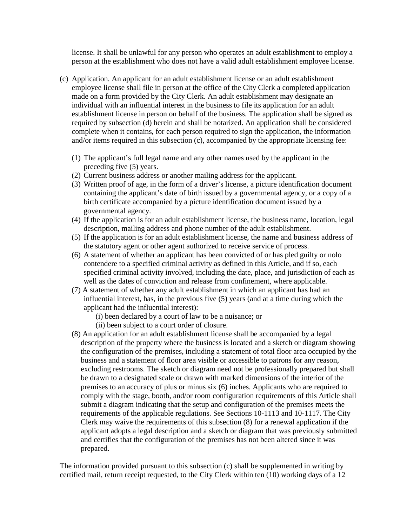license. It shall be unlawful for any person who operates an adult establishment to employ a person at the establishment who does not have a valid adult establishment employee license.

- (c) Application. An applicant for an adult establishment license or an adult establishment employee license shall file in person at the office of the City Clerk a completed application made on a form provided by the City Clerk. An adult establishment may designate an individual with an influential interest in the business to file its application for an adult establishment license in person on behalf of the business. The application shall be signed as required by subsection (d) herein and shall be notarized. An application shall be considered complete when it contains, for each person required to sign the application, the information and/or items required in this subsection (c), accompanied by the appropriate licensing fee:
	- (1) The applicant's full legal name and any other names used by the applicant in the preceding five (5) years.
	- (2) Current business address or another mailing address for the applicant.
	- (3) Written proof of age, in the form of a driver's license, a picture identification document containing the applicant's date of birth issued by a governmental agency, or a copy of a birth certificate accompanied by a picture identification document issued by a governmental agency.
	- (4) If the application is for an adult establishment license, the business name, location, legal description, mailing address and phone number of the adult establishment.
	- (5) If the application is for an adult establishment license, the name and business address of the statutory agent or other agent authorized to receive service of process.
	- (6) A statement of whether an applicant has been convicted of or has pled guilty or nolo contendere to a specified criminal activity as defined in this Article, and if so, each specified criminal activity involved, including the date, place, and jurisdiction of each as well as the dates of conviction and release from confinement, where applicable.
	- (7) A statement of whether any adult establishment in which an applicant has had an influential interest, has, in the previous five (5) years (and at a time during which the applicant had the influential interest):
		- (i) been declared by a court of law to be a nuisance; or
		- (ii) been subject to a court order of closure.
	- (8) An application for an adult establishment license shall be accompanied by a legal description of the property where the business is located and a sketch or diagram showing the configuration of the premises, including a statement of total floor area occupied by the business and a statement of floor area visible or accessible to patrons for any reason, excluding restrooms. The sketch or diagram need not be professionally prepared but shall be drawn to a designated scale or drawn with marked dimensions of the interior of the premises to an accuracy of plus or minus six (6) inches. Applicants who are required to comply with the stage, booth, and/or room configuration requirements of this Article shall submit a diagram indicating that the setup and configuration of the premises meets the requirements of the applicable regulations. See Sections 10-1113 and 10-1117. The City Clerk may waive the requirements of this subsection (8) for a renewal application if the applicant adopts a legal description and a sketch or diagram that was previously submitted and certifies that the configuration of the premises has not been altered since it was prepared.

The information provided pursuant to this subsection (c) shall be supplemented in writing by certified mail, return receipt requested, to the City Clerk within ten (10) working days of a 12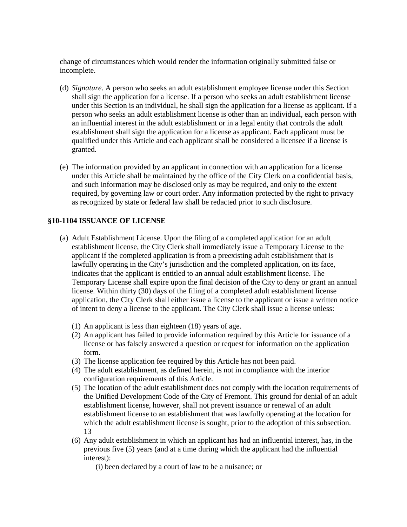change of circumstances which would render the information originally submitted false or incomplete.

- (d) *Signature*. A person who seeks an adult establishment employee license under this Section shall sign the application for a license. If a person who seeks an adult establishment license under this Section is an individual, he shall sign the application for a license as applicant. If a person who seeks an adult establishment license is other than an individual, each person with an influential interest in the adult establishment or in a legal entity that controls the adult establishment shall sign the application for a license as applicant. Each applicant must be qualified under this Article and each applicant shall be considered a licensee if a license is granted.
- (e) The information provided by an applicant in connection with an application for a license under this Article shall be maintained by the office of the City Clerk on a confidential basis, and such information may be disclosed only as may be required, and only to the extent required, by governing law or court order. Any information protected by the right to privacy as recognized by state or federal law shall be redacted prior to such disclosure.

#### **§10-1104 ISSUANCE OF LICENSE**

- (a) Adult Establishment License. Upon the filing of a completed application for an adult establishment license, the City Clerk shall immediately issue a Temporary License to the applicant if the completed application is from a preexisting adult establishment that is lawfully operating in the City's jurisdiction and the completed application, on its face, indicates that the applicant is entitled to an annual adult establishment license. The Temporary License shall expire upon the final decision of the City to deny or grant an annual license. Within thirty (30) days of the filing of a completed adult establishment license application, the City Clerk shall either issue a license to the applicant or issue a written notice of intent to deny a license to the applicant. The City Clerk shall issue a license unless:
	- (1) An applicant is less than eighteen (18) years of age.
	- (2) An applicant has failed to provide information required by this Article for issuance of a license or has falsely answered a question or request for information on the application form.
	- (3) The license application fee required by this Article has not been paid.
	- (4) The adult establishment, as defined herein, is not in compliance with the interior configuration requirements of this Article.
	- (5) The location of the adult establishment does not comply with the location requirements of the Unified Development Code of the City of Fremont. This ground for denial of an adult establishment license, however, shall not prevent issuance or renewal of an adult establishment license to an establishment that was lawfully operating at the location for which the adult establishment license is sought, prior to the adoption of this subsection. 13
	- (6) Any adult establishment in which an applicant has had an influential interest, has, in the previous five (5) years (and at a time during which the applicant had the influential interest):
		- (i) been declared by a court of law to be a nuisance; or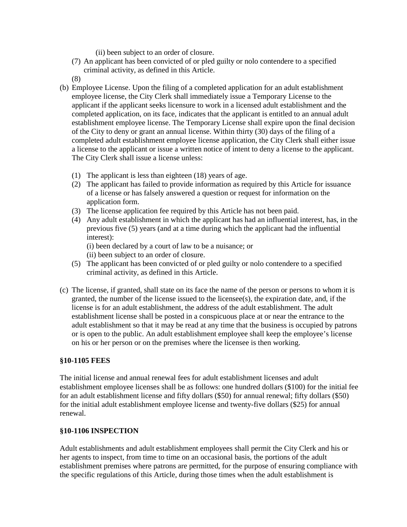(ii) been subject to an order of closure.

- (7) An applicant has been convicted of or pled guilty or nolo contendere to a specified criminal activity, as defined in this Article.
- (8)
- (b) Employee License. Upon the filing of a completed application for an adult establishment employee license, the City Clerk shall immediately issue a Temporary License to the applicant if the applicant seeks licensure to work in a licensed adult establishment and the completed application, on its face, indicates that the applicant is entitled to an annual adult establishment employee license. The Temporary License shall expire upon the final decision of the City to deny or grant an annual license. Within thirty (30) days of the filing of a completed adult establishment employee license application, the City Clerk shall either issue a license to the applicant or issue a written notice of intent to deny a license to the applicant. The City Clerk shall issue a license unless:
	- (1) The applicant is less than eighteen (18) years of age.
	- (2) The applicant has failed to provide information as required by this Article for issuance of a license or has falsely answered a question or request for information on the application form.
	- (3) The license application fee required by this Article has not been paid.
	- (4) Any adult establishment in which the applicant has had an influential interest, has, in the previous five (5) years (and at a time during which the applicant had the influential interest):

(i) been declared by a court of law to be a nuisance; or

(ii) been subject to an order of closure.

- (5) The applicant has been convicted of or pled guilty or nolo contendere to a specified criminal activity, as defined in this Article.
- (c) The license, if granted, shall state on its face the name of the person or persons to whom it is granted, the number of the license issued to the licensee(s), the expiration date, and, if the license is for an adult establishment, the address of the adult establishment. The adult establishment license shall be posted in a conspicuous place at or near the entrance to the adult establishment so that it may be read at any time that the business is occupied by patrons or is open to the public. An adult establishment employee shall keep the employee's license on his or her person or on the premises where the licensee is then working.

#### **§10-1105 FEES**

The initial license and annual renewal fees for adult establishment licenses and adult establishment employee licenses shall be as follows: one hundred dollars (\$100) for the initial fee for an adult establishment license and fifty dollars (\$50) for annual renewal; fifty dollars (\$50) for the initial adult establishment employee license and twenty-five dollars (\$25) for annual renewal.

#### **§10-1106 INSPECTION**

Adult establishments and adult establishment employees shall permit the City Clerk and his or her agents to inspect, from time to time on an occasional basis, the portions of the adult establishment premises where patrons are permitted, for the purpose of ensuring compliance with the specific regulations of this Article, during those times when the adult establishment is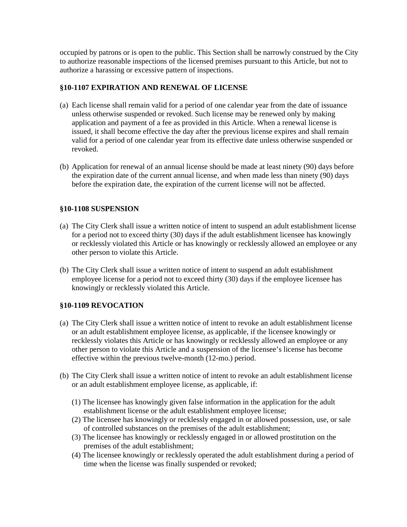occupied by patrons or is open to the public. This Section shall be narrowly construed by the City to authorize reasonable inspections of the licensed premises pursuant to this Article, but not to authorize a harassing or excessive pattern of inspections.

#### **§10-1107 EXPIRATION AND RENEWAL OF LICENSE**

- (a) Each license shall remain valid for a period of one calendar year from the date of issuance unless otherwise suspended or revoked. Such license may be renewed only by making application and payment of a fee as provided in this Article. When a renewal license is issued, it shall become effective the day after the previous license expires and shall remain valid for a period of one calendar year from its effective date unless otherwise suspended or revoked.
- (b) Application for renewal of an annual license should be made at least ninety (90) days before the expiration date of the current annual license, and when made less than ninety (90) days before the expiration date, the expiration of the current license will not be affected.

#### **§10-1108 SUSPENSION**

- (a) The City Clerk shall issue a written notice of intent to suspend an adult establishment license for a period not to exceed thirty (30) days if the adult establishment licensee has knowingly or recklessly violated this Article or has knowingly or recklessly allowed an employee or any other person to violate this Article.
- (b) The City Clerk shall issue a written notice of intent to suspend an adult establishment employee license for a period not to exceed thirty (30) days if the employee licensee has knowingly or recklessly violated this Article.

#### **§10-1109 REVOCATION**

- (a) The City Clerk shall issue a written notice of intent to revoke an adult establishment license or an adult establishment employee license, as applicable, if the licensee knowingly or recklessly violates this Article or has knowingly or recklessly allowed an employee or any other person to violate this Article and a suspension of the licensee's license has become effective within the previous twelve-month (12-mo.) period.
- (b) The City Clerk shall issue a written notice of intent to revoke an adult establishment license or an adult establishment employee license, as applicable, if:
	- (1) The licensee has knowingly given false information in the application for the adult establishment license or the adult establishment employee license;
	- (2) The licensee has knowingly or recklessly engaged in or allowed possession, use, or sale of controlled substances on the premises of the adult establishment;
	- (3) The licensee has knowingly or recklessly engaged in or allowed prostitution on the premises of the adult establishment;
	- (4) The licensee knowingly or recklessly operated the adult establishment during a period of time when the license was finally suspended or revoked;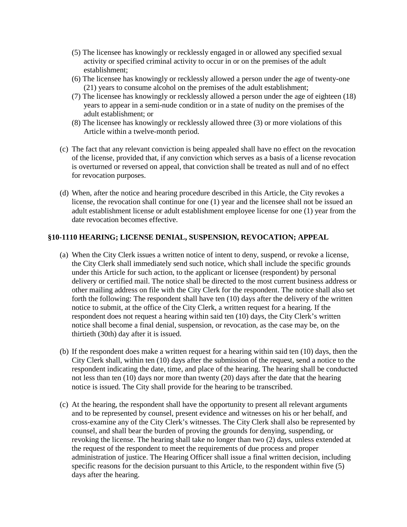- (5) The licensee has knowingly or recklessly engaged in or allowed any specified sexual activity or specified criminal activity to occur in or on the premises of the adult establishment;
- (6) The licensee has knowingly or recklessly allowed a person under the age of twenty-one (21) years to consume alcohol on the premises of the adult establishment;
- (7) The licensee has knowingly or recklessly allowed a person under the age of eighteen (18) years to appear in a semi-nude condition or in a state of nudity on the premises of the adult establishment; or
- (8) The licensee has knowingly or recklessly allowed three (3) or more violations of this Article within a twelve-month period.
- (c) The fact that any relevant conviction is being appealed shall have no effect on the revocation of the license, provided that, if any conviction which serves as a basis of a license revocation is overturned or reversed on appeal, that conviction shall be treated as null and of no effect for revocation purposes.
- (d) When, after the notice and hearing procedure described in this Article, the City revokes a license, the revocation shall continue for one (1) year and the licensee shall not be issued an adult establishment license or adult establishment employee license for one (1) year from the date revocation becomes effective.

#### **§10-1110 HEARING; LICENSE DENIAL, SUSPENSION, REVOCATION; APPEAL**

- (a) When the City Clerk issues a written notice of intent to deny, suspend, or revoke a license, the City Clerk shall immediately send such notice, which shall include the specific grounds under this Article for such action, to the applicant or licensee (respondent) by personal delivery or certified mail. The notice shall be directed to the most current business address or other mailing address on file with the City Clerk for the respondent. The notice shall also set forth the following: The respondent shall have ten (10) days after the delivery of the written notice to submit, at the office of the City Clerk, a written request for a hearing. If the respondent does not request a hearing within said ten (10) days, the City Clerk's written notice shall become a final denial, suspension, or revocation, as the case may be, on the thirtieth (30th) day after it is issued.
- (b) If the respondent does make a written request for a hearing within said ten (10) days, then the City Clerk shall, within ten (10) days after the submission of the request, send a notice to the respondent indicating the date, time, and place of the hearing. The hearing shall be conducted not less than ten (10) days nor more than twenty (20) days after the date that the hearing notice is issued. The City shall provide for the hearing to be transcribed.
- (c) At the hearing, the respondent shall have the opportunity to present all relevant arguments and to be represented by counsel, present evidence and witnesses on his or her behalf, and cross-examine any of the City Clerk's witnesses. The City Clerk shall also be represented by counsel, and shall bear the burden of proving the grounds for denying, suspending, or revoking the license. The hearing shall take no longer than two (2) days, unless extended at the request of the respondent to meet the requirements of due process and proper administration of justice. The Hearing Officer shall issue a final written decision, including specific reasons for the decision pursuant to this Article, to the respondent within five (5) days after the hearing.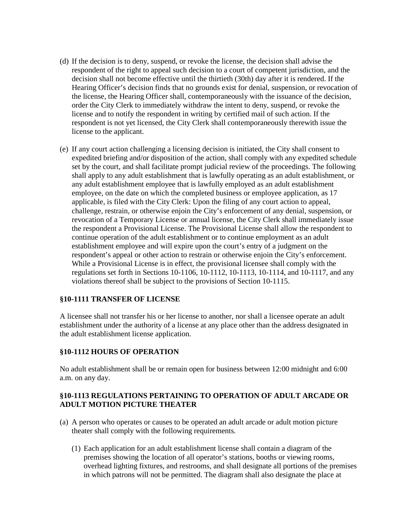- (d) If the decision is to deny, suspend, or revoke the license, the decision shall advise the respondent of the right to appeal such decision to a court of competent jurisdiction, and the decision shall not become effective until the thirtieth (30th) day after it is rendered. If the Hearing Officer's decision finds that no grounds exist for denial, suspension, or revocation of the license, the Hearing Officer shall, contemporaneously with the issuance of the decision, order the City Clerk to immediately withdraw the intent to deny, suspend, or revoke the license and to notify the respondent in writing by certified mail of such action. If the respondent is not yet licensed, the City Clerk shall contemporaneously therewith issue the license to the applicant.
- (e) If any court action challenging a licensing decision is initiated, the City shall consent to expedited briefing and/or disposition of the action, shall comply with any expedited schedule set by the court, and shall facilitate prompt judicial review of the proceedings. The following shall apply to any adult establishment that is lawfully operating as an adult establishment, or any adult establishment employee that is lawfully employed as an adult establishment employee, on the date on which the completed business or employee application, as 17 applicable, is filed with the City Clerk: Upon the filing of any court action to appeal, challenge, restrain, or otherwise enjoin the City's enforcement of any denial, suspension, or revocation of a Temporary License or annual license, the City Clerk shall immediately issue the respondent a Provisional License. The Provisional License shall allow the respondent to continue operation of the adult establishment or to continue employment as an adult establishment employee and will expire upon the court's entry of a judgment on the respondent's appeal or other action to restrain or otherwise enjoin the City's enforcement. While a Provisional License is in effect, the provisional licensee shall comply with the regulations set forth in Sections 10-1106, 10-1112, 10-1113, 10-1114, and 10-1117, and any violations thereof shall be subject to the provisions of Section 10-1115.

#### **§10-1111 TRANSFER OF LICENSE**

A licensee shall not transfer his or her license to another, nor shall a licensee operate an adult establishment under the authority of a license at any place other than the address designated in the adult establishment license application.

#### **§10-1112 HOURS OF OPERATION**

No adult establishment shall be or remain open for business between 12:00 midnight and 6:00 a.m. on any day.

#### **§10-1113 REGULATIONS PERTAINING TO OPERATION OF ADULT ARCADE OR ADULT MOTION PICTURE THEATER**

- (a) A person who operates or causes to be operated an adult arcade or adult motion picture theater shall comply with the following requirements.
	- (1) Each application for an adult establishment license shall contain a diagram of the premises showing the location of all operator's stations, booths or viewing rooms, overhead lighting fixtures, and restrooms, and shall designate all portions of the premises in which patrons will not be permitted. The diagram shall also designate the place at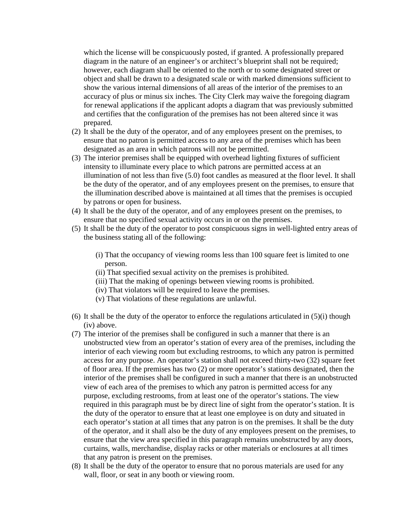which the license will be conspicuously posted, if granted. A professionally prepared diagram in the nature of an engineer's or architect's blueprint shall not be required; however, each diagram shall be oriented to the north or to some designated street or object and shall be drawn to a designated scale or with marked dimensions sufficient to show the various internal dimensions of all areas of the interior of the premises to an accuracy of plus or minus six inches. The City Clerk may waive the foregoing diagram for renewal applications if the applicant adopts a diagram that was previously submitted and certifies that the configuration of the premises has not been altered since it was prepared.

- (2) It shall be the duty of the operator, and of any employees present on the premises, to ensure that no patron is permitted access to any area of the premises which has been designated as an area in which patrons will not be permitted.
- (3) The interior premises shall be equipped with overhead lighting fixtures of sufficient intensity to illuminate every place to which patrons are permitted access at an illumination of not less than five (5.0) foot candles as measured at the floor level. It shall be the duty of the operator, and of any employees present on the premises, to ensure that the illumination described above is maintained at all times that the premises is occupied by patrons or open for business.
- (4) It shall be the duty of the operator, and of any employees present on the premises, to ensure that no specified sexual activity occurs in or on the premises.
- (5) It shall be the duty of the operator to post conspicuous signs in well-lighted entry areas of the business stating all of the following:
	- (i) That the occupancy of viewing rooms less than 100 square feet is limited to one person.
	- (ii) That specified sexual activity on the premises is prohibited.
	- (iii) That the making of openings between viewing rooms is prohibited.
	- (iv) That violators will be required to leave the premises.
	- (v) That violations of these regulations are unlawful.
- (6) It shall be the duty of the operator to enforce the regulations articulated in  $(5)(i)$  though (iv) above.
- (7) The interior of the premises shall be configured in such a manner that there is an unobstructed view from an operator's station of every area of the premises, including the interior of each viewing room but excluding restrooms, to which any patron is permitted access for any purpose. An operator's station shall not exceed thirty-two (32) square feet of floor area. If the premises has two (2) or more operator's stations designated, then the interior of the premises shall be configured in such a manner that there is an unobstructed view of each area of the premises to which any patron is permitted access for any purpose, excluding restrooms, from at least one of the operator's stations. The view required in this paragraph must be by direct line of sight from the operator's station. It is the duty of the operator to ensure that at least one employee is on duty and situated in each operator's station at all times that any patron is on the premises. It shall be the duty of the operator, and it shall also be the duty of any employees present on the premises, to ensure that the view area specified in this paragraph remains unobstructed by any doors, curtains, walls, merchandise, display racks or other materials or enclosures at all times that any patron is present on the premises.
- (8) It shall be the duty of the operator to ensure that no porous materials are used for any wall, floor, or seat in any booth or viewing room.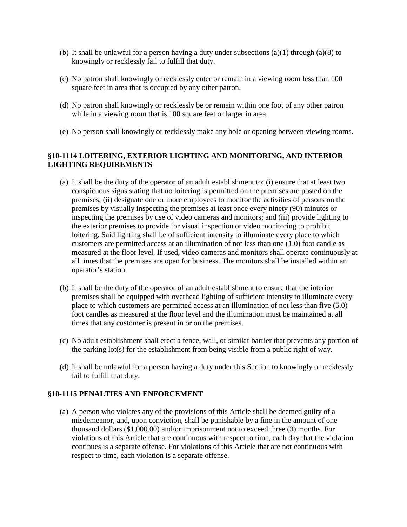- (b) It shall be unlawful for a person having a duty under subsections  $(a)(1)$  through  $(a)(8)$  to knowingly or recklessly fail to fulfill that duty.
- (c) No patron shall knowingly or recklessly enter or remain in a viewing room less than 100 square feet in area that is occupied by any other patron.
- (d) No patron shall knowingly or recklessly be or remain within one foot of any other patron while in a viewing room that is 100 square feet or larger in area.
- (e) No person shall knowingly or recklessly make any hole or opening between viewing rooms.

#### **§10-1114 LOITERING, EXTERIOR LIGHTING AND MONITORING, AND INTERIOR LIGHTING REQUIREMENTS**

- (a) It shall be the duty of the operator of an adult establishment to: (i) ensure that at least two conspicuous signs stating that no loitering is permitted on the premises are posted on the premises; (ii) designate one or more employees to monitor the activities of persons on the premises by visually inspecting the premises at least once every ninety (90) minutes or inspecting the premises by use of video cameras and monitors; and (iii) provide lighting to the exterior premises to provide for visual inspection or video monitoring to prohibit loitering. Said lighting shall be of sufficient intensity to illuminate every place to which customers are permitted access at an illumination of not less than one (1.0) foot candle as measured at the floor level. If used, video cameras and monitors shall operate continuously at all times that the premises are open for business. The monitors shall be installed within an operator's station.
- (b) It shall be the duty of the operator of an adult establishment to ensure that the interior premises shall be equipped with overhead lighting of sufficient intensity to illuminate every place to which customers are permitted access at an illumination of not less than five (5.0) foot candles as measured at the floor level and the illumination must be maintained at all times that any customer is present in or on the premises.
- (c) No adult establishment shall erect a fence, wall, or similar barrier that prevents any portion of the parking lot(s) for the establishment from being visible from a public right of way.
- (d) It shall be unlawful for a person having a duty under this Section to knowingly or recklessly fail to fulfill that duty.

#### **§10-1115 PENALTIES AND ENFORCEMENT**

(a) A person who violates any of the provisions of this Article shall be deemed guilty of a misdemeanor, and, upon conviction, shall be punishable by a fine in the amount of one thousand dollars (\$1,000.00) and/or imprisonment not to exceed three (3) months. For violations of this Article that are continuous with respect to time, each day that the violation continues is a separate offense. For violations of this Article that are not continuous with respect to time, each violation is a separate offense.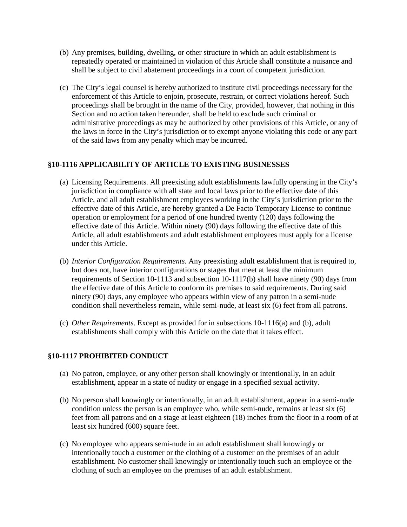- (b) Any premises, building, dwelling, or other structure in which an adult establishment is repeatedly operated or maintained in violation of this Article shall constitute a nuisance and shall be subject to civil abatement proceedings in a court of competent jurisdiction.
- (c) The City's legal counsel is hereby authorized to institute civil proceedings necessary for the enforcement of this Article to enjoin, prosecute, restrain, or correct violations hereof. Such proceedings shall be brought in the name of the City, provided, however, that nothing in this Section and no action taken hereunder, shall be held to exclude such criminal or administrative proceedings as may be authorized by other provisions of this Article, or any of the laws in force in the City's jurisdiction or to exempt anyone violating this code or any part of the said laws from any penalty which may be incurred.

#### **§10-1116 APPLICABILITY OF ARTICLE TO EXISTING BUSINESSES**

- (a) Licensing Requirements. All preexisting adult establishments lawfully operating in the City's jurisdiction in compliance with all state and local laws prior to the effective date of this Article, and all adult establishment employees working in the City's jurisdiction prior to the effective date of this Article, are hereby granted a De Facto Temporary License to continue operation or employment for a period of one hundred twenty (120) days following the effective date of this Article. Within ninety (90) days following the effective date of this Article, all adult establishments and adult establishment employees must apply for a license under this Article.
- (b) *Interior Configuration Requirements.* Any preexisting adult establishment that is required to, but does not, have interior configurations or stages that meet at least the minimum requirements of Section 10-1113 and subsection 10-1117(b) shall have ninety (90) days from the effective date of this Article to conform its premises to said requirements. During said ninety (90) days, any employee who appears within view of any patron in a semi-nude condition shall nevertheless remain, while semi-nude, at least six (6) feet from all patrons.
- (c) *Other Requirements*. Except as provided for in subsections 10-1116(a) and (b), adult establishments shall comply with this Article on the date that it takes effect.

#### **§10-1117 PROHIBITED CONDUCT**

- (a) No patron, employee, or any other person shall knowingly or intentionally, in an adult establishment, appear in a state of nudity or engage in a specified sexual activity.
- (b) No person shall knowingly or intentionally, in an adult establishment, appear in a semi-nude condition unless the person is an employee who, while semi-nude, remains at least six (6) feet from all patrons and on a stage at least eighteen (18) inches from the floor in a room of at least six hundred (600) square feet.
- (c) No employee who appears semi-nude in an adult establishment shall knowingly or intentionally touch a customer or the clothing of a customer on the premises of an adult establishment. No customer shall knowingly or intentionally touch such an employee or the clothing of such an employee on the premises of an adult establishment.